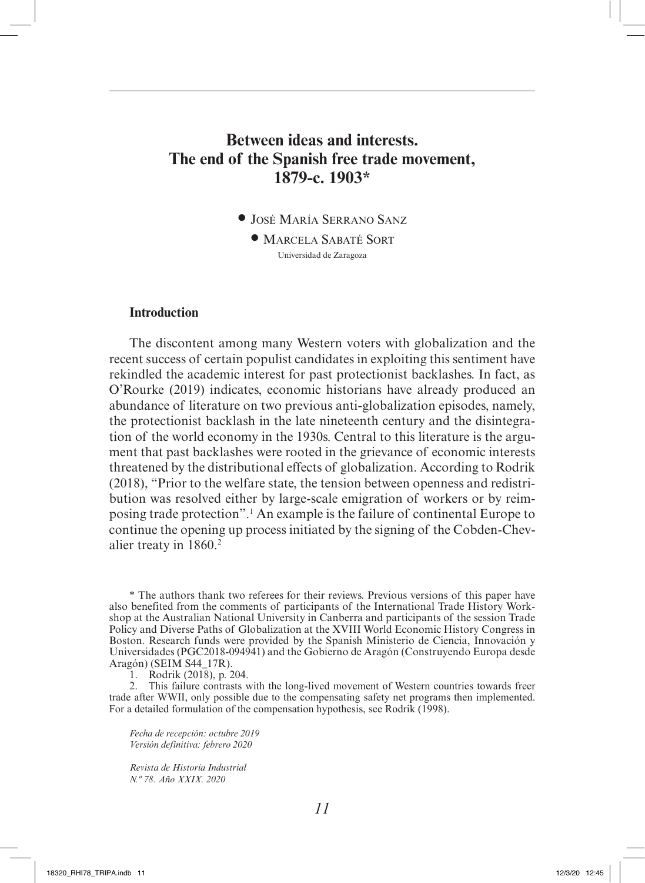# **Between ideas and interests. The end of the Spanish free trade movement, 1879-c. 1903\***

• José María Serrano Sanz

• Marcela Sabaté Sort Universidad de Zaragoza

### **Introduction**

The discontent among many Western voters with globalization and the recent success of certain populist candidates in exploiting this sentiment have rekindled the academic interest for past protectionist backlashes. In fact, as O'Rourke (2019) indicates, economic historians have already produced an abundance of literature on two previous anti-globalization episodes, namely, the protectionist backlash in the late nineteenth century and the disintegration of the world economy in the 1930s. Central to this literature is the argument that past backlashes were rooted in the grievance of economic interests threatened by the distributional effects of globalization. According to Rodrik (2018), "Prior to the welfare state, the tension between openness and redistribution was resolved either by large-scale emigration of workers or by reimposing trade protection".1 An example is the failure of continental Europe to continue the opening up process initiated by the signing of the Cobden-Chevalier treaty in 1860.<sup>2</sup>

\* The authors thank two referees for their reviews. Previous versions of this paper have also benefited from the comments of participants of the International Trade History Workshop at the Australian National University in Canberra and participants of the session Trade Policy and Diverse Paths of Globalization at the XVIII World Economic History Congress in Boston. Research funds were provided by the Spanish Ministerio de Ciencia, Innovación y Universidades (PGC2018-094941) and the Gobierno de Aragón (Construyendo Europa desde Aragón) (SEIM S44\_17R).

1. Rodrik (2018), p. 204.

2. This failure contrasts with the long-lived movement of Western countries towards freer trade after WWII, only possible due to the compensating safety net programs then implemented. For a detailed formulation of the compensation hypothesis, see Rodrik (1998).

*Fecha de recepción: octubre 2019 Versión definitiva: febrero 2020*

*Revista de Historia Industrial N.º 78. Año XXIX. 2020*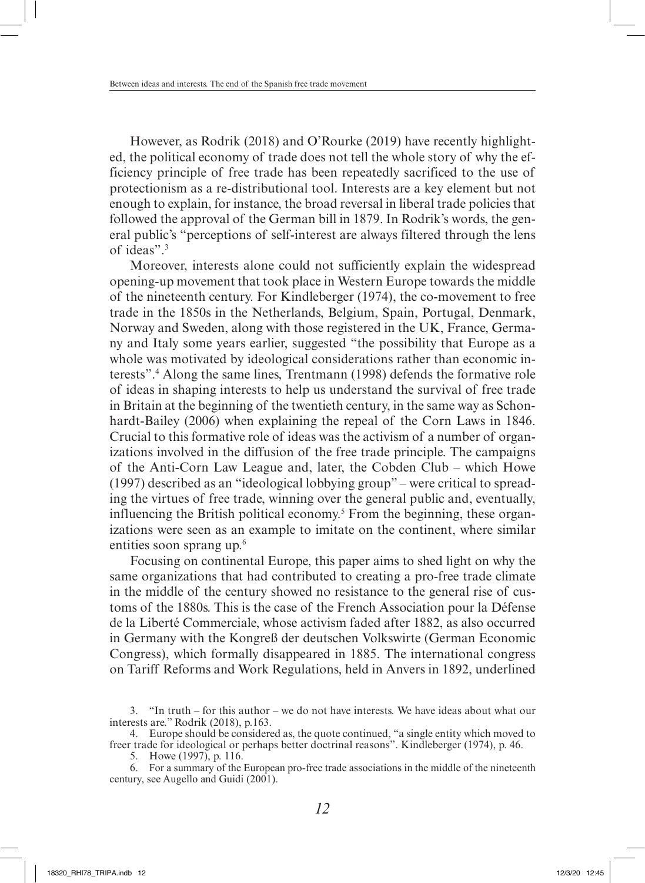However, as Rodrik (2018) and O'Rourke (2019) have recently highlighted, the political economy of trade does not tell the whole story of why the efficiency principle of free trade has been repeatedly sacrificed to the use of protectionism as a re-distributional tool. Interests are a key element but not enough to explain, for instance, the broad reversal in liberal trade policies that followed the approval of the German bill in 1879. In Rodrik's words, the general public's "perceptions of self-interest are always filtered through the lens of ideas".3

Moreover, interests alone could not sufficiently explain the widespread opening-up movement that took place in Western Europe towards the middle of the nineteenth century. For Kindleberger (1974), the co-movement to free trade in the 1850s in the Netherlands, Belgium, Spain, Portugal, Denmark, Norway and Sweden, along with those registered in the UK, France, Germany and Italy some years earlier, suggested "the possibility that Europe as a whole was motivated by ideological considerations rather than economic interests".4 Along the same lines, Trentmann (1998) defends the formative role of ideas in shaping interests to help us understand the survival of free trade in Britain at the beginning of the twentieth century, in the same way as Schonhardt-Bailey (2006) when explaining the repeal of the Corn Laws in 1846. Crucial to this formative role of ideas was the activism of a number of organizations involved in the diffusion of the free trade principle. The campaigns of the Anti-Corn Law League and, later, the Cobden Club – which Howe (1997) described as an "ideological lobbying group" – were critical to spreading the virtues of free trade, winning over the general public and, eventually, influencing the British political economy.<sup>5</sup> From the beginning, these organizations were seen as an example to imitate on the continent, where similar entities soon sprang up.<sup>6</sup>

Focusing on continental Europe, this paper aims to shed light on why the same organizations that had contributed to creating a pro-free trade climate in the middle of the century showed no resistance to the general rise of customs of the 1880s. This is the case of the French Association pour la Défense de la Liberté Commerciale, whose activism faded after 1882, as also occurred in Germany with the Kongreß der deutschen Volkswirte (German Economic Congress), which formally disappeared in 1885. The international congress on Tariff Reforms and Work Regulations, held in Anvers in 1892, underlined

<sup>3.</sup> "In truth – for this author – we do not have interests. We have ideas about what our interests are." Rodrik (2018), p.163.

<sup>4.</sup> Europe should be considered as, the quote continued, "a single entity which moved to freer trade for ideological or perhaps better doctrinal reasons". Kindleberger (1974), p. 46.

<sup>5.</sup> Howe (1997), p. 116.

<sup>6.</sup> For a summary of the European pro-free trade associations in the middle of the nineteenth century, see Augello and Guidi (2001).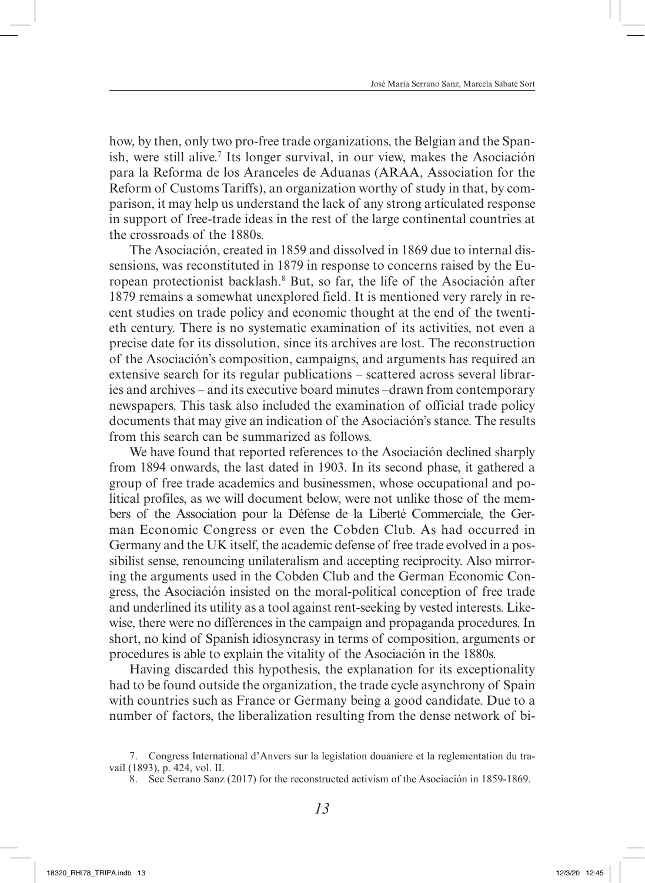how, by then, only two pro-free trade organizations, the Belgian and the Spanish, were still alive.<sup>7</sup> Its longer survival, in our view, makes the Asociación para la Reforma de los Aranceles de Aduanas (ARAA, Association for the Reform of Customs Tariffs), an organization worthy of study in that, by comparison, it may help us understand the lack of any strong articulated response in support of free-trade ideas in the rest of the large continental countries at the crossroads of the 1880s.

The Asociación, created in 1859 and dissolved in 1869 due to internal dissensions, was reconstituted in 1879 in response to concerns raised by the European protectionist backlash.8 But, so far, the life of the Asociación after 1879 remains a somewhat unexplored field. It is mentioned very rarely in recent studies on trade policy and economic thought at the end of the twentieth century. There is no systematic examination of its activities, not even a precise date for its dissolution, since its archives are lost. The reconstruction of the Asociación's composition, campaigns, and arguments has required an extensive search for its regular publications – scattered across several libraries and archives – and its executive board minutes –drawn from contemporary newspapers. This task also included the examination of official trade policy documents that may give an indication of the Asociación's stance. The results from this search can be summarized as follows.

We have found that reported references to the Asociación declined sharply from 1894 onwards, the last dated in 1903. In its second phase, it gathered a group of free trade academics and businessmen, whose occupational and political profiles, as we will document below, were not unlike those of the members of the Association pour la Défense de la Liberté Commerciale, the German Economic Congress or even the Cobden Club. As had occurred in Germany and the UK itself, the academic defense of free trade evolved in a possibilist sense, renouncing unilateralism and accepting reciprocity. Also mirroring the arguments used in the Cobden Club and the German Economic Congress, the Asociación insisted on the moral-political conception of free trade and underlined its utility as a tool against rent-seeking by vested interests. Likewise, there were no differences in the campaign and propaganda procedures. In short, no kind of Spanish idiosyncrasy in terms of composition, arguments or procedures is able to explain the vitality of the Asociación in the 1880s.

Having discarded this hypothesis, the explanation for its exceptionality had to be found outside the organization, the trade cycle asynchrony of Spain with countries such as France or Germany being a good candidate. Due to a number of factors, the liberalization resulting from the dense network of bi-

<sup>7.</sup> Congress International d'Anvers sur la legislation douaniere et la reglementation du travail (1893), p. 424, vol. II.

<sup>8.</sup> See Serrano Sanz (2017) for the reconstructed activism of the Asociación in 1859-1869.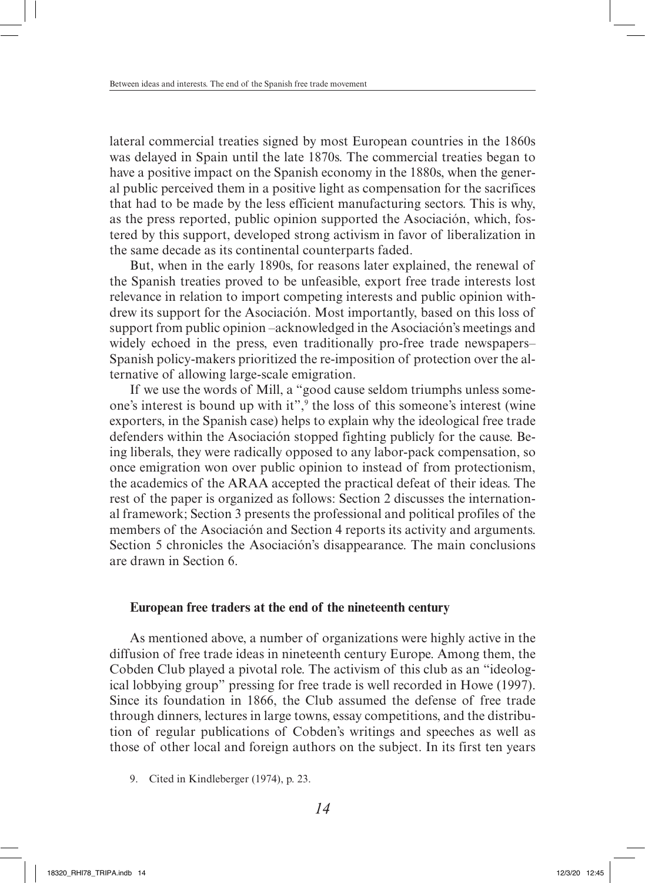lateral commercial treaties signed by most European countries in the 1860s was delayed in Spain until the late 1870s. The commercial treaties began to have a positive impact on the Spanish economy in the 1880s, when the general public perceived them in a positive light as compensation for the sacrifices that had to be made by the less efficient manufacturing sectors. This is why, as the press reported, public opinion supported the Asociación, which, fostered by this support, developed strong activism in favor of liberalization in the same decade as its continental counterparts faded.

But, when in the early 1890s, for reasons later explained, the renewal of the Spanish treaties proved to be unfeasible, export free trade interests lost relevance in relation to import competing interests and public opinion withdrew its support for the Asociación. Most importantly, based on this loss of support from public opinion –acknowledged in the Asociación's meetings and widely echoed in the press, even traditionally pro-free trade newspapers– Spanish policy-makers prioritized the re-imposition of protection over the alternative of allowing large-scale emigration.

If we use the words of Mill, a "good cause seldom triumphs unless someone's interest is bound up with it",<sup>9</sup> the loss of this someone's interest (wine exporters, in the Spanish case) helps to explain why the ideological free trade defenders within the Asociación stopped fighting publicly for the cause. Being liberals, they were radically opposed to any labor-pack compensation, so once emigration won over public opinion to instead of from protectionism, the academics of the ARAA accepted the practical defeat of their ideas. The rest of the paper is organized as follows: Section 2 discusses the international framework; Section 3 presents the professional and political profiles of the members of the Asociación and Section 4 reports its activity and arguments. Section 5 chronicles the Asociación's disappearance. The main conclusions are drawn in Section 6.

### **European free traders at the end of the nineteenth century**

As mentioned above, a number of organizations were highly active in the diffusion of free trade ideas in nineteenth century Europe. Among them, the Cobden Club played a pivotal role. The activism of this club as an "ideological lobbying group" pressing for free trade is well recorded in Howe (1997). Since its foundation in 1866, the Club assumed the defense of free trade through dinners, lectures in large towns, essay competitions, and the distribution of regular publications of Cobden's writings and speeches as well as those of other local and foreign authors on the subject. In its first ten years

<sup>9.</sup> Cited in Kindleberger (1974), p. 23.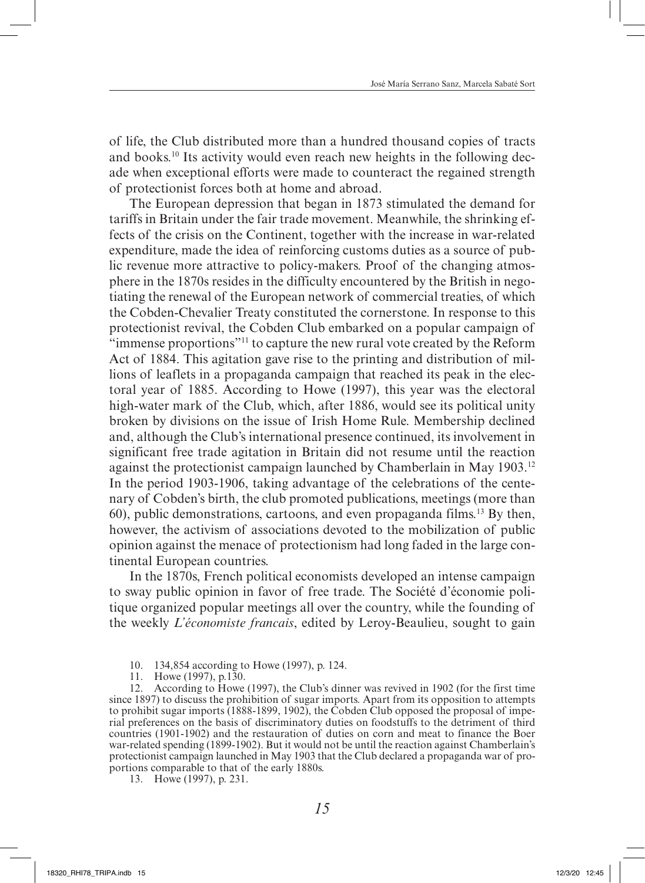of life, the Club distributed more than a hundred thousand copies of tracts and books.10 Its activity would even reach new heights in the following decade when exceptional efforts were made to counteract the regained strength of protectionist forces both at home and abroad.

The European depression that began in 1873 stimulated the demand for tariffs in Britain under the fair trade movement. Meanwhile, the shrinking effects of the crisis on the Continent, together with the increase in war-related expenditure, made the idea of reinforcing customs duties as a source of public revenue more attractive to policy-makers. Proof of the changing atmosphere in the 1870s resides in the difficulty encountered by the British in negotiating the renewal of the European network of commercial treaties, of which the Cobden-Chevalier Treaty constituted the cornerstone. In response to this protectionist revival, the Cobden Club embarked on a popular campaign of "immense proportions"11 to capture the new rural vote created by the Reform Act of 1884. This agitation gave rise to the printing and distribution of millions of leaflets in a propaganda campaign that reached its peak in the electoral year of 1885. According to Howe (1997), this year was the electoral high-water mark of the Club, which, after 1886, would see its political unity broken by divisions on the issue of Irish Home Rule. Membership declined and, although the Club's international presence continued, its involvement in significant free trade agitation in Britain did not resume until the reaction against the protectionist campaign launched by Chamberlain in May 1903.12 In the period 1903-1906, taking advantage of the celebrations of the centenary of Cobden's birth, the club promoted publications, meetings (more than 60), public demonstrations, cartoons, and even propaganda films.13 By then, however, the activism of associations devoted to the mobilization of public opinion against the menace of protectionism had long faded in the large continental European countries.

In the 1870s, French political economists developed an intense campaign to sway public opinion in favor of free trade. The Société d'économie politique organized popular meetings all over the country, while the founding of the weekly *L'économiste francais*, edited by Leroy-Beaulieu, sought to gain

10. 134,854 according to Howe (1997), p. 124.

11. Howe (1997), p.130.

12. According to Howe (1997), the Club's dinner was revived in 1902 (for the first time since 1897) to discuss the prohibition of sugar imports. Apart from its opposition to attempts to prohibit sugar imports (1888-1899, 1902), the Cobden Club opposed the proposal of imperial preferences on the basis of discriminatory duties on foodstuffs to the detriment of third countries (1901-1902) and the restauration of duties on corn and meat to finance the Boer war-related spending (1899-1902). But it would not be until the reaction against Chamberlain's protectionist campaign launched in May 1903 that the Club declared a propaganda war of proportions comparable to that of the early 1880s.

13. Howe (1997), p. 231.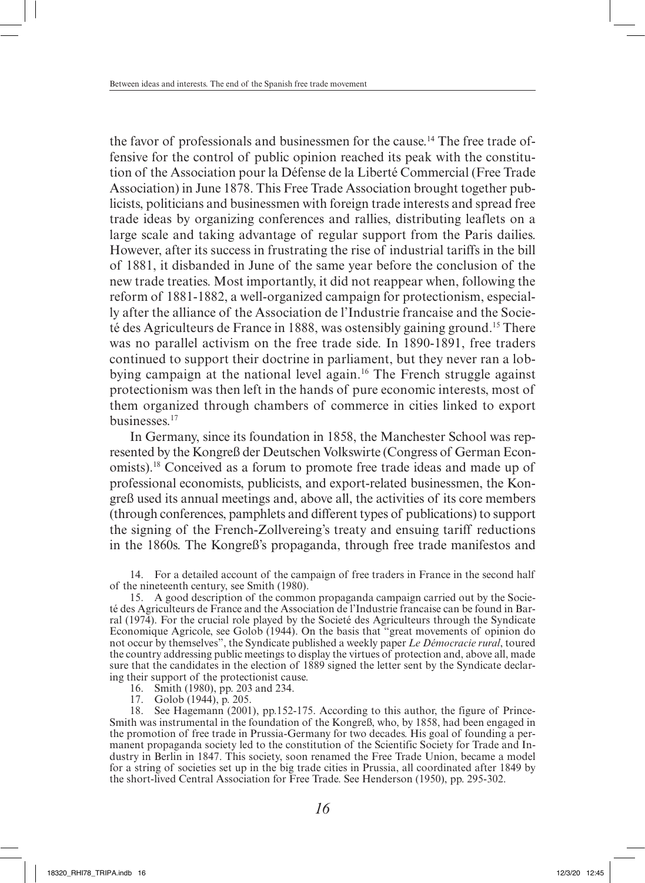the favor of professionals and businessmen for the cause.14 The free trade offensive for the control of public opinion reached its peak with the constitution of the Association pour la Défense de la Liberté Commercial (Free Trade Association) in June 1878. This Free Trade Association brought together publicists, politicians and businessmen with foreign trade interests and spread free trade ideas by organizing conferences and rallies, distributing leaflets on a large scale and taking advantage of regular support from the Paris dailies. However, after its success in frustrating the rise of industrial tariffs in the bill of 1881, it disbanded in June of the same year before the conclusion of the new trade treaties. Most importantly, it did not reappear when, following the reform of 1881-1882, a well-organized campaign for protectionism, especially after the alliance of the Association de l'Industrie francaise and the Societé des Agriculteurs de France in 1888, was ostensibly gaining ground.15 There was no parallel activism on the free trade side. In 1890-1891, free traders continued to support their doctrine in parliament, but they never ran a lobbying campaign at the national level again.16 The French struggle against protectionism was then left in the hands of pure economic interests, most of them organized through chambers of commerce in cities linked to export businesses.17

In Germany, since its foundation in 1858, the Manchester School was represented by the Kongreß der Deutschen Volkswirte (Congress of German Economists).18 Conceived as a forum to promote free trade ideas and made up of professional economists, publicists, and export-related businessmen, the Kongreß used its annual meetings and, above all, the activities of its core members (through conferences, pamphlets and different types of publications) to support the signing of the French-Zollvereing's treaty and ensuing tariff reductions in the 1860s. The Kongreß's propaganda, through free trade manifestos and

14. For a detailed account of the campaign of free traders in France in the second half of the nineteenth century, see Smith (1980).

15. A good description of the common propaganda campaign carried out by the Societé des Agriculteurs de France and the Association de l'Industrie francaise can be found in Barral (1974). For the crucial role played by the Societé des Agriculteurs through the Syndicate Economique Agricole, see Golob (1944). On the basis that "great movements of opinion do not occur by themselves", the Syndicate published a weekly paper *Le Démocracie rural*, toured the country addressing public meetings to display the virtues of protection and, above all, made sure that the candidates in the election of 1889 signed the letter sent by the Syndicate declaring their support of the protectionist cause.

16. Smith (1980), pp. 203 and 234.

17. Golob (1944), p. 205.

18. See Hagemann (2001), pp.152-175. According to this author, the figure of Prince-Smith was instrumental in the foundation of the Kongreß, who, by 1858, had been engaged in the promotion of free trade in Prussia-Germany for two decades. His goal of founding a permanent propaganda society led to the constitution of the Scientific Society for Trade and Industry in Berlin in 1847. This society, soon renamed the Free Trade Union, became a model for a string of societies set up in the big trade cities in Prussia, all coordinated after 1849 by the short-lived Central Association for Free Trade. See Henderson (1950), pp. 295-302.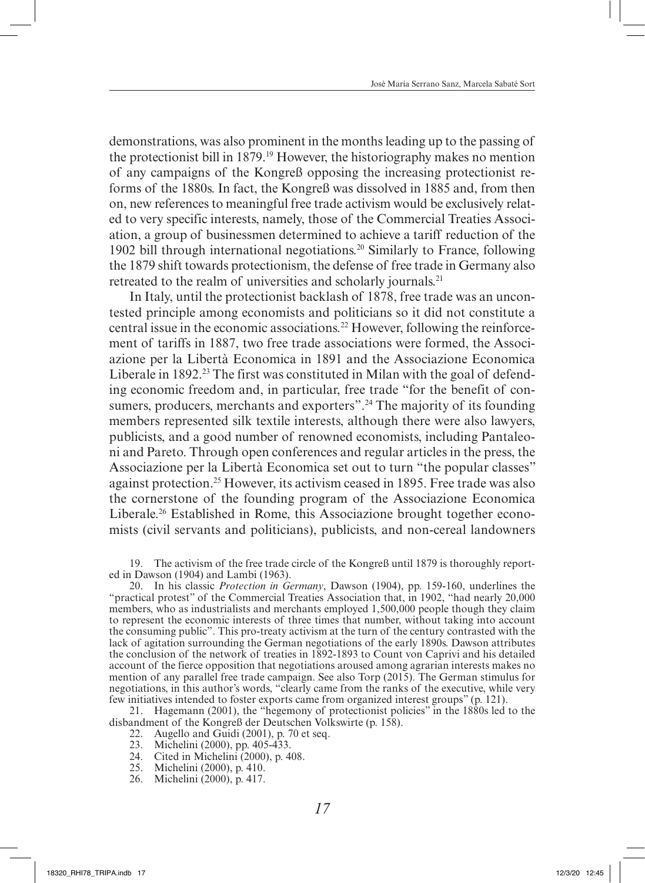demonstrations, was also prominent in the months leading up to the passing of the protectionist bill in 1879.19 However, the historiography makes no mention of any campaigns of the Kongreß opposing the increasing protectionist reforms of the 1880s. In fact, the Kongreß was dissolved in 1885 and, from then on, new references to meaningful free trade activism would be exclusively related to very specific interests, namely, those of the Commercial Treaties Association, a group of businessmen determined to achieve a tariff reduction of the 1902 bill through international negotiations.<sup>20</sup> Similarly to France, following the 1879 shift towards protectionism, the defense of free trade in Germany also retreated to the realm of universities and scholarly journals.<sup>21</sup>

In Italy, until the protectionist backlash of 1878, free trade was an uncontested principle among economists and politicians so it did not constitute a central issue in the economic associations.22 However, following the reinforcement of tariffs in 1887, two free trade associations were formed, the Associazione per la Libertà Economica in 1891 and the Associazione Economica Liberale in 1892.<sup>23</sup> The first was constituted in Milan with the goal of defending economic freedom and, in particular, free trade "for the benefit of consumers, producers, merchants and exporters".<sup>24</sup> The majority of its founding members represented silk textile interests, although there were also lawyers, publicists, and a good number of renowned economists, including Pantaleoni and Pareto. Through open conferences and regular articles in the press, the Associazione per la Libertà Economica set out to turn "the popular classes" against protection.25 However, its activism ceased in 1895. Free trade was also the cornerstone of the founding program of the Associazione Economica Liberale.<sup>26</sup> Established in Rome, this Associazione brought together economists (civil servants and politicians), publicists, and non-cereal landowners

19. The activism of the free trade circle of the Kongreß until 1879 is thoroughly reported in Dawson (1904) and Lambi (1963).

20. In his classic *Protection in Germany*, Dawson (1904), pp. 159-160, underlines the "practical protest" of the Commercial Treaties Association that, in 1902, "had nearly 20,000 members, who as industrialists and merchants employed 1,500,000 people though they claim to represent the economic interests of three times that number, without taking into account the consuming public". This pro-treaty activism at the turn of the century contrasted with the lack of agitation surrounding the German negotiations of the early 1890s. Dawson attributes the conclusion of the network of treaties in 1892-1893 to Count von Caprivi and his detailed account of the fierce opposition that negotiations aroused among agrarian interests makes no mention of any parallel free trade campaign. See also Torp (2015). The German stimulus for negotiations, in this author's words, "clearly came from the ranks of the executive, while very few initiatives intended to foster exports came from organized interest groups" (p. 121).

21. Hagemann (2001), the "hegemony of protectionist policies" in the 1880s led to the disbandment of the Kongreß der Deutschen Volkswirte (p. 158).

- 22. Augello and Guidi (2001), p. 70 et seq.
- 23. Michelini (2000), pp. 405-433.
- 24. Cited in Michelini (2000), p. 408.
- 25. Michelini (2000), p. 410.
- 26. Michelini (2000), p. 417.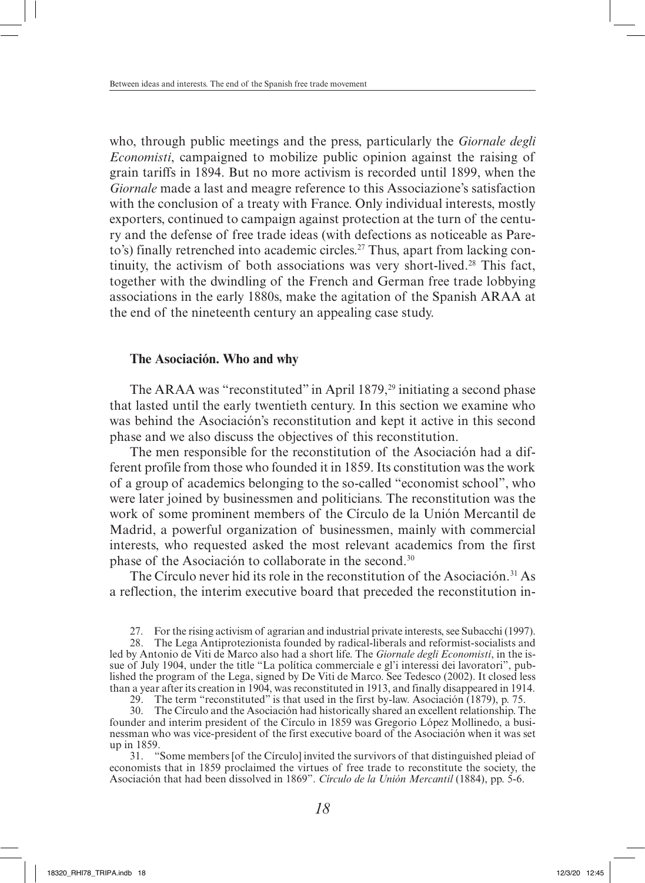who, through public meetings and the press, particularly the *Giornale degli Economisti*, campaigned to mobilize public opinion against the raising of grain tariffs in 1894. But no more activism is recorded until 1899, when the *Giornale* made a last and meagre reference to this Associazione's satisfaction with the conclusion of a treaty with France. Only individual interests, mostly exporters, continued to campaign against protection at the turn of the century and the defense of free trade ideas (with defections as noticeable as Pareto's) finally retrenched into academic circles.<sup>27</sup> Thus, apart from lacking continuity, the activism of both associations was very short-lived.28 This fact, together with the dwindling of the French and German free trade lobbying associations in the early 1880s, make the agitation of the Spanish ARAA at the end of the nineteenth century an appealing case study.

### **The Asociación. Who and why**

The ARAA was "reconstituted" in April 1879, $^{29}$  initiating a second phase that lasted until the early twentieth century. In this section we examine who was behind the Asociación's reconstitution and kept it active in this second phase and we also discuss the objectives of this reconstitution.

The men responsible for the reconstitution of the Asociación had a different profile from those who founded it in 1859. Its constitution was the work of a group of academics belonging to the so-called "economist school", who were later joined by businessmen and politicians. The reconstitution was the work of some prominent members of the Círculo de la Unión Mercantil de Madrid, a powerful organization of businessmen, mainly with commercial interests, who requested asked the most relevant academics from the first phase of the Asociación to collaborate in the second.30

The Círculo never hid its role in the reconstitution of the Asociación.<sup>31</sup> As a reflection, the interim executive board that preceded the reconstitution in-

27. For the rising activism of agrarian and industrial private interests, see Subacchi (1997).

28. The Lega Antiprotezionista founded by radical-liberals and reformist-socialists and led by Antonio de Viti de Marco also had a short life. The *Giornale degli Economisti*, in the issue of July 1904, under the title "La política commerciale e gl'i interessi dei lavoratori", published the program of the Lega, signed by De Viti de Marco. See Tedesco (2002). It closed less than a year after its creation in 1904, was reconstituted in 1913, and finally disappeared in 1914.

29. The term "reconstituted" is that used in the first by-law. Asociación (1879), p. 75.

30. The Círculo and the Asociación had historically shared an excellent relationship. The founder and interim president of the Círculo in 1859 was Gregorio López Mollinedo, a businessman who was vice-president of the first executive board of the Asociación when it was set up in 1859.

31. "Some members [of the Círculo] invited the survivors of that distinguished pleiad of economists that in 1859 proclaimed the virtues of free trade to reconstitute the society, the Asociación that had been dissolved in 1869". *Círculo de la Unión Mercantil* (1884), pp. 5-6.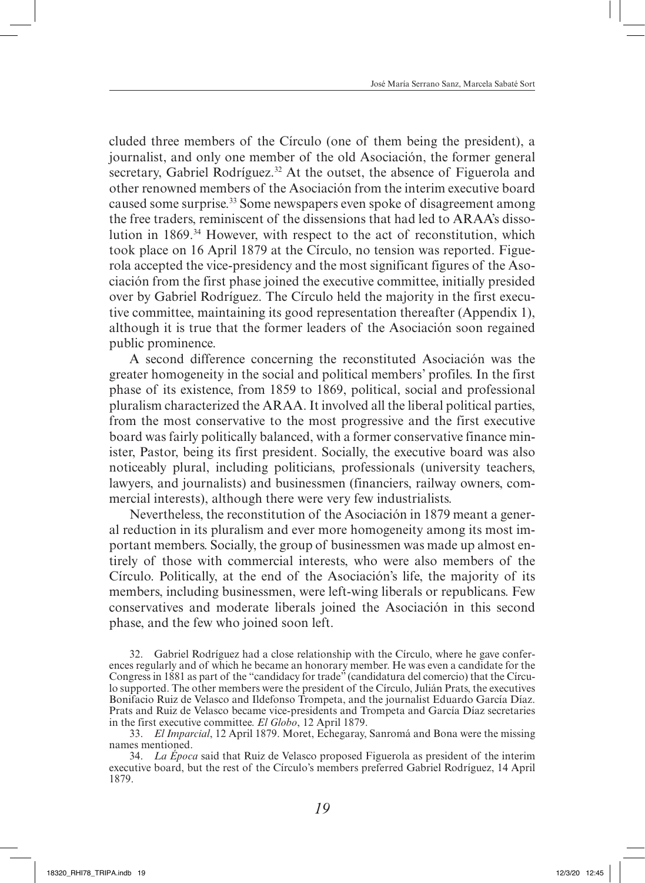cluded three members of the Círculo (one of them being the president), a journalist, and only one member of the old Asociación, the former general secretary, Gabriel Rodríguez.<sup>32</sup> At the outset, the absence of Figuerola and other renowned members of the Asociación from the interim executive board caused some surprise.<sup>33</sup> Some newspapers even spoke of disagreement among the free traders, reminiscent of the dissensions that had led to ARAA's dissolution in 1869.34 However, with respect to the act of reconstitution, which took place on 16 April 1879 at the Círculo, no tension was reported. Figuerola accepted the vice-presidency and the most significant figures of the Asociación from the first phase joined the executive committee, initially presided over by Gabriel Rodríguez. The Círculo held the majority in the first executive committee, maintaining its good representation thereafter (Appendix 1), although it is true that the former leaders of the Asociación soon regained public prominence.

A second difference concerning the reconstituted Asociación was the greater homogeneity in the social and political members' profiles. In the first phase of its existence, from 1859 to 1869, political, social and professional pluralism characterized the ARAA. It involved all the liberal political parties, from the most conservative to the most progressive and the first executive board was fairly politically balanced, with a former conservative finance minister, Pastor, being its first president. Socially, the executive board was also noticeably plural, including politicians, professionals (university teachers, lawyers, and journalists) and businessmen (financiers, railway owners, commercial interests), although there were very few industrialists.

Nevertheless, the reconstitution of the Asociación in 1879 meant a general reduction in its pluralism and ever more homogeneity among its most important members. Socially, the group of businessmen was made up almost entirely of those with commercial interests, who were also members of the Círculo. Politically, at the end of the Asociación's life, the majority of its members, including businessmen, were left-wing liberals or republicans. Few conservatives and moderate liberals joined the Asociación in this second phase, and the few who joined soon left.

32. Gabriel Rodríguez had a close relationship with the Círculo, where he gave conferences regularly and of which he became an honorary member. He was even a candidate for the Congress in 1881 as part of the "candidacy for trade" (candidatura del comercio) that the Círculo supported. The other members were the president of the Círculo, Julián Prats, the executives Bonifacio Ruiz de Velasco and Ildefonso Trompeta, and the journalist Eduardo García Díaz. Prats and Ruiz de Velasco became vice-presidents and Trompeta and García Díaz secretaries in the first executive committee. *El Globo*, 12 April 1879.

33. *El Imparcial*, 12 April 1879. Moret, Echegaray, Sanromá and Bona were the missing names mentioned.

34. *La Época* said that Ruiz de Velasco proposed Figuerola as president of the interim executive board, but the rest of the Círculo's members preferred Gabriel Rodríguez, 14 April 1879.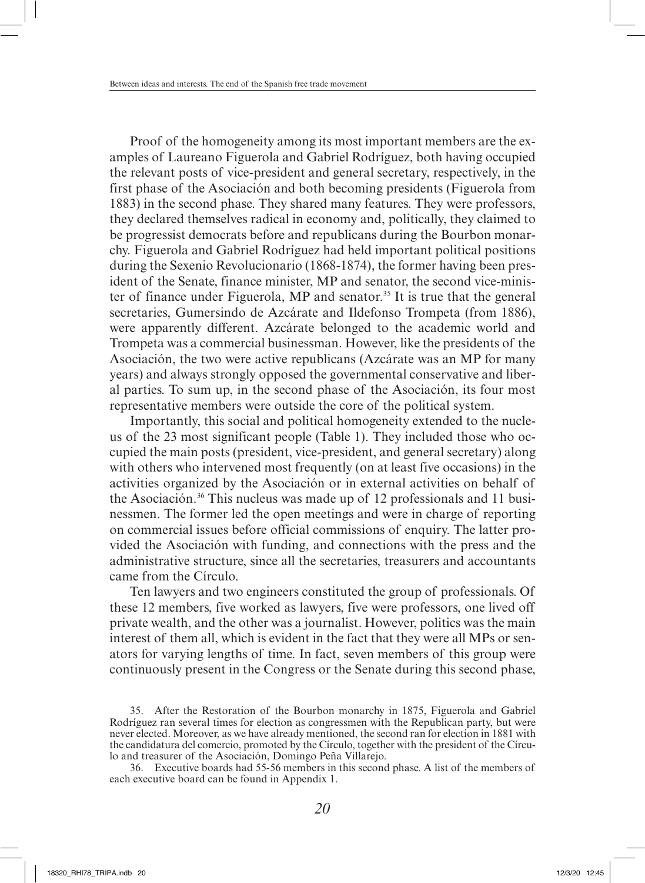Proof of the homogeneity among its most important members are the examples of Laureano Figuerola and Gabriel Rodríguez, both having occupied the relevant posts of vice-president and general secretary, respectively, in the first phase of the Asociación and both becoming presidents (Figuerola from 1883) in the second phase. They shared many features. They were professors, they declared themselves radical in economy and, politically, they claimed to be progressist democrats before and republicans during the Bourbon monarchy. Figuerola and Gabriel Rodríguez had held important political positions during the Sexenio Revolucionario (1868-1874), the former having been president of the Senate, finance minister, MP and senator, the second vice-minister of finance under Figuerola, MP and senator.<sup>35</sup> It is true that the general secretaries, Gumersindo de Azcárate and Ildefonso Trompeta (from 1886), were apparently different. Azcárate belonged to the academic world and Trompeta was a commercial businessman. However, like the presidents of the Asociación, the two were active republicans (Azcárate was an MP for many years) and always strongly opposed the governmental conservative and liberal parties. To sum up, in the second phase of the Asociación, its four most representative members were outside the core of the political system.

Importantly, this social and political homogeneity extended to the nucleus of the 23 most significant people (Table 1). They included those who occupied the main posts (president, vice-president, and general secretary) along with others who intervened most frequently (on at least five occasions) in the activities organized by the Asociación or in external activities on behalf of the Asociación.36 This nucleus was made up of 12 professionals and 11 businessmen. The former led the open meetings and were in charge of reporting on commercial issues before official commissions of enquiry. The latter provided the Asociación with funding, and connections with the press and the administrative structure, since all the secretaries, treasurers and accountants came from the Círculo.

Ten lawyers and two engineers constituted the group of professionals. Of these 12 members, five worked as lawyers, five were professors, one lived off private wealth, and the other was a journalist. However, politics was the main interest of them all, which is evident in the fact that they were all MPs or senators for varying lengths of time. In fact, seven members of this group were continuously present in the Congress or the Senate during this second phase,

<sup>35.</sup> After the Restoration of the Bourbon monarchy in 1875, Figuerola and Gabriel Rodríguez ran several times for election as congressmen with the Republican party, but were never elected. Moreover, as we have already mentioned, the second ran for election in 1881 with the candidatura del comercio, promoted by the Círculo, together with the president of the Círculo and treasurer of the Asociación, Domingo Peña Villarejo.

<sup>36.</sup> Executive boards had 55-56 members in this second phase. A list of the members of each executive board can be found in Appendix 1.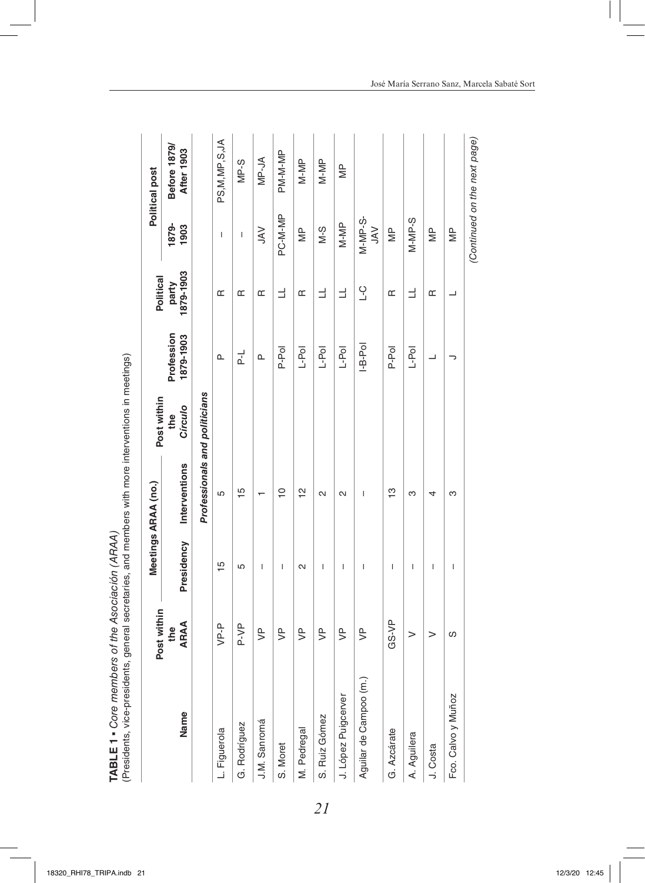|                        | Post within        |                                       | Meetings ARAA (no.)           | Post within    |                         | Political          |                         | Political post                    |
|------------------------|--------------------|---------------------------------------|-------------------------------|----------------|-------------------------|--------------------|-------------------------|-----------------------------------|
| Name                   | <b>ARAA</b><br>the | Presidency                            | Interventions                 | Circulo<br>the | Profession<br>1879-1903 | 1879-1903<br>party | 1879-<br>1903           | Before 1879/<br><b>After 1903</b> |
|                        |                    |                                       | Professionals and politicians |                |                         |                    |                         |                                   |
| L. Figuerola           | VP-P               | 15                                    | 5                             |                | ൨                       | Œ                  | $\mathsf I$             | PS, M, MP, S, JA                  |
| G. Rodríguez           | P-VP               | 5                                     | 15                            |                | 군                       | Œ                  | T                       | $MP-S$                            |
| J.M. Sanromá           | $\geq$             | $\begin{array}{c} \hline \end{array}$ |                               |                | ≏                       | Œ                  | $\leq$                  | MP-JA                             |
| S. Moret               | $\overline{5}$     | I                                     | $\overline{C}$                |                | P-Pol                   | Ε                  | PC-M-MP                 | PM-M-MP                           |
| M. Pedregal            | $\frac{p}{q}$      | $\mathbf{\Omega}$                     | 얻                             |                | $L-Pol$                 | Œ                  | $\overline{\mathbb{M}}$ | $M-MP$                            |
| S. Ruiz Gómez          | $\bar{z}$          | I                                     | $\mathbf{\Omega}$             |                | $L-Pol$                 | Ε                  | $8-10$                  | $M-MP$                            |
| J. López Puigcerver    | $\geq$             | I                                     | $\mathbf{\Omega}$             |                | $L-Pol$                 | $\exists$          | $M-MP$                  | $\frac{P}{\geq}$                  |
| Aguilar de Campoo (m.) | $\geq$             | $\overline{\phantom{a}}$              | $\overline{1}$                |                | $I-B-Pol$               | ں<br>ـا            | $M-MP-S-$<br>$\leq$     |                                   |
| G. Azcárate            | $GS-VP$            | I                                     | ဗ္                            |                | P-Pol                   | Œ                  | $\frac{p}{\leq}$        |                                   |
| A. Aguilera            | >                  | $\begin{array}{c} \hline \end{array}$ | ო                             |                | $L-Pol$                 | $\exists$          | $M-MP-S$                |                                   |
| J. Costa               | >                  | T                                     | 4                             |                | ┙                       | Œ                  | $\frac{P}{\leq}$        |                                   |
| Fco. Calvo y Muñoz     | ပ                  | I                                     | ო                             |                | っ                       | ┙                  | $\overline{\mathbb{R}}$ |                                   |
|                        |                    |                                       |                               |                |                         |                    |                         | (Continued on the next page)      |

TABLE 1 • Core members of the Asociación (ARAA)<br>(Presidents, vice-presidents, general secretaries, and members with more interventions in meetings) (Presidents, vice-presidents, general secretaries, and members with more interventions in meetings) **TABLE 1** ▪ *Core members of the Asociación (ARAA)*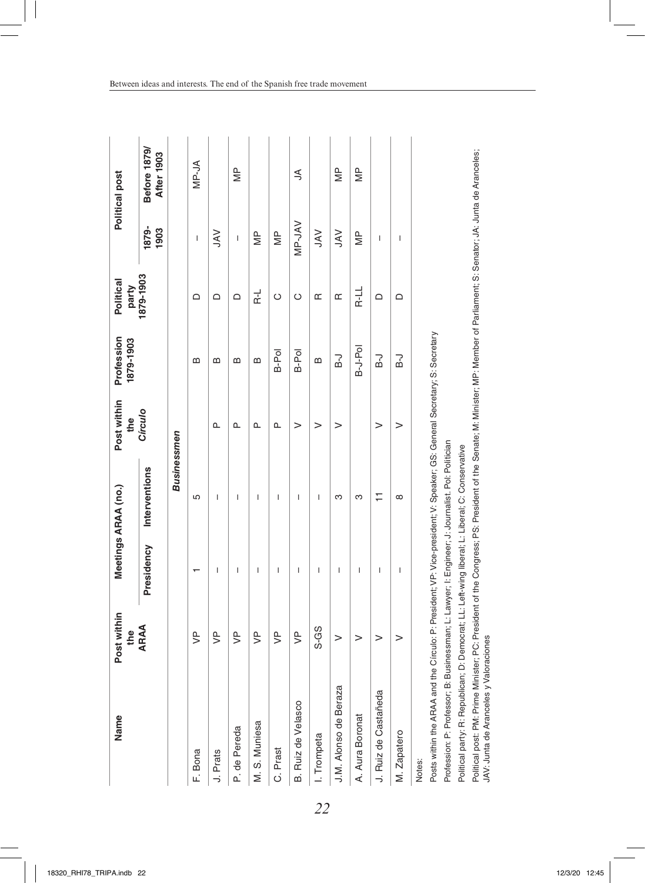| Name                                                                                                                                                                                                                                   | Post within<br>the |                          | Meetings ARAA (no.)                                             | Post within<br>the | Profession<br>1879-1903 | Political<br>party |                                                                                                                                                                                                                                                                                                                                                                                  | Political post                           |
|----------------------------------------------------------------------------------------------------------------------------------------------------------------------------------------------------------------------------------------|--------------------|--------------------------|-----------------------------------------------------------------|--------------------|-------------------------|--------------------|----------------------------------------------------------------------------------------------------------------------------------------------------------------------------------------------------------------------------------------------------------------------------------------------------------------------------------------------------------------------------------|------------------------------------------|
|                                                                                                                                                                                                                                        | <b>ARAA</b>        | Presidency               | Interventions                                                   | Círculo            |                         | 1879-1903          | 1879-<br>1903                                                                                                                                                                                                                                                                                                                                                                    | <b>Before 1879/</b><br><b>After 1903</b> |
|                                                                                                                                                                                                                                        |                    |                          | <b>Businessmen</b>                                              |                    |                         |                    |                                                                                                                                                                                                                                                                                                                                                                                  |                                          |
| F. Bona                                                                                                                                                                                                                                | $\overline{5}$     |                          | 5                                                               |                    | ≃                       | ≏                  | $\begin{array}{c} \rule{0pt}{2.5ex} \rule{0pt}{2.5ex} \rule{0pt}{2.5ex} \rule{0pt}{2.5ex} \rule{0pt}{2.5ex} \rule{0pt}{2.5ex} \rule{0pt}{2.5ex} \rule{0pt}{2.5ex} \rule{0pt}{2.5ex} \rule{0pt}{2.5ex} \rule{0pt}{2.5ex} \rule{0pt}{2.5ex} \rule{0pt}{2.5ex} \rule{0pt}{2.5ex} \rule{0pt}{2.5ex} \rule{0pt}{2.5ex} \rule{0pt}{2.5ex} \rule{0pt}{2.5ex} \rule{0pt}{2.5ex} \rule{0$ | MP-JA                                    |
| J. Prats                                                                                                                                                                                                                               | $\overline{5}$     | T                        | $\overline{\phantom{a}}$                                        | ൨                  | m                       | ≏                  | <b>NAL</b>                                                                                                                                                                                                                                                                                                                                                                       |                                          |
| P. de Pereda                                                                                                                                                                                                                           | $\overline{5}$     | I                        | I                                                               | ≏                  | $\omega$                | $\Omega$           | I                                                                                                                                                                                                                                                                                                                                                                                | $\frac{P}{\geq}$                         |
| M. S. Muniesa                                                                                                                                                                                                                          | $\overline{5}$     | I                        | I                                                               | ൨                  | $\mathbf{a}$            | 군                  | Ψb                                                                                                                                                                                                                                                                                                                                                                               |                                          |
| C. Prast                                                                                                                                                                                                                               | $\overline{5}$     | $\overline{\phantom{a}}$ | $\overline{\phantom{a}}$                                        | ൨                  | B-Pol                   | $\circ$            | $\frac{\rho}{\Xi}$                                                                                                                                                                                                                                                                                                                                                               |                                          |
| B. Ruiz de Velasco                                                                                                                                                                                                                     | $\overline{P}$     | I                        | I                                                               | >                  | B-Pol                   | O                  | <b>MP-JAV</b>                                                                                                                                                                                                                                                                                                                                                                    | $\leq$                                   |
| I. Trompeta                                                                                                                                                                                                                            | S-GS               | $\overline{1}$           | I                                                               | >                  | B                       | Œ                  | $\leq$                                                                                                                                                                                                                                                                                                                                                                           |                                          |
| J.M. Alonso de Beraza                                                                                                                                                                                                                  | $\rm{~}$           | I                        | ო                                                               | $\rm{~}$           | P-1                     | Œ                  | $\geqslant$                                                                                                                                                                                                                                                                                                                                                                      | $\equiv$                                 |
| A. Aura Boronat                                                                                                                                                                                                                        | >                  | I                        | ო                                                               |                    | B-J-Pol                 | R-LL               | Ψb                                                                                                                                                                                                                                                                                                                                                                               | ψ                                        |
| J. Ruiz de Castañeda                                                                                                                                                                                                                   | $\geq$             | I                        | Ξ                                                               | >                  | r<br>ए                  | ≏                  | I                                                                                                                                                                                                                                                                                                                                                                                |                                          |
| M. Zapatero                                                                                                                                                                                                                            | $\geq$             | T                        | $\infty$                                                        | >                  | ٦,                      | $\Omega$           | I                                                                                                                                                                                                                                                                                                                                                                                |                                          |
| Posts within the ARAA and the Circulo: P: President; VF: Vice-president; V: Speaker; GS: General Secretary; S: Secretary<br>Profession: P: Professor; B: Businessman; L: Lawyer; I: Engineer; J: Journalist. Pol: Politician<br>Notes: |                    |                          |                                                                 |                    |                         |                    |                                                                                                                                                                                                                                                                                                                                                                                  |                                          |
| Political party: R: Republican;                                                                                                                                                                                                        |                    |                          | D: Democrat; LL: Left-wing liberal; L: Liberal; C: Conservative |                    |                         |                    |                                                                                                                                                                                                                                                                                                                                                                                  |                                          |

Political post: PM: Prime Minister; PC: President of the Congress; PS: President of the Senate; M: Minister; MP: Member of Parliament; S: Senator; JA: Junta de Aranceles;

Political post: PM: Prime Minister; PC: Pesident of the Congress; PS: President of the Senate; M. Minister; MP: Member of Parliament; S: Senator; JA: Junta de Aranceles;<br>JAV: Junta de Aranceles y Valoraciones

JAV: Junta de Aranceles y Valoraciones

*22*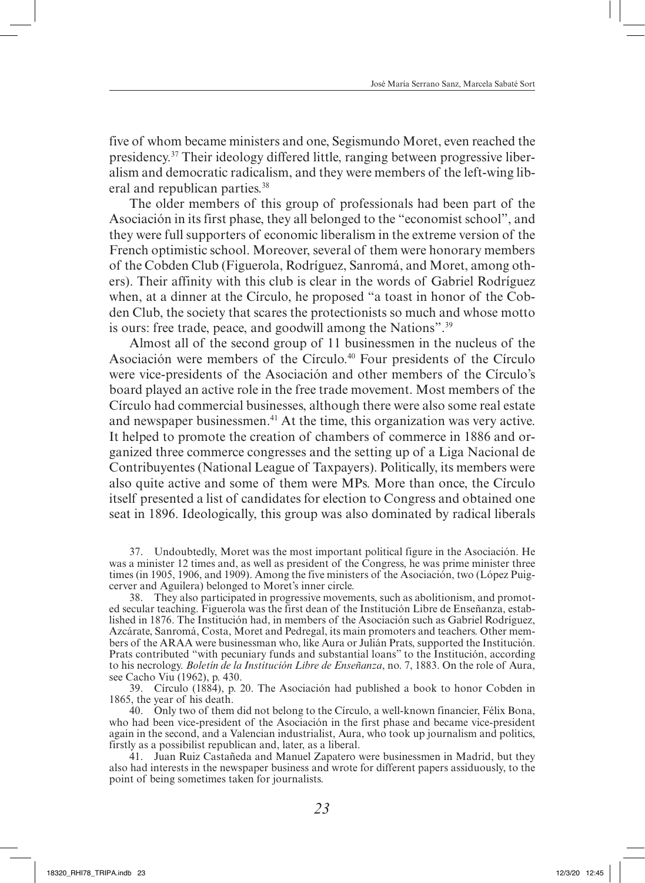five of whom became ministers and one, Segismundo Moret, even reached the presidency.37 Their ideology differed little, ranging between progressive liberalism and democratic radicalism, and they were members of the left-wing liberal and republican parties.<sup>38</sup>

The older members of this group of professionals had been part of the Asociación in its first phase, they all belonged to the "economist school", and they were full supporters of economic liberalism in the extreme version of the French optimistic school. Moreover, several of them were honorary members of the Cobden Club (Figuerola, Rodríguez, Sanromá, and Moret, among others). Their affinity with this club is clear in the words of Gabriel Rodríguez when, at a dinner at the Círculo, he proposed "a toast in honor of the Cobden Club, the society that scares the protectionists so much and whose motto is ours: free trade, peace, and goodwill among the Nations".39

Almost all of the second group of 11 businessmen in the nucleus of the Asociación were members of the Círculo.<sup>40</sup> Four presidents of the Círculo were vice-presidents of the Asociación and other members of the Círculo's board played an active role in the free trade movement. Most members of the Círculo had commercial businesses, although there were also some real estate and newspaper businessmen.<sup>41</sup> At the time, this organization was very active. It helped to promote the creation of chambers of commerce in 1886 and organized three commerce congresses and the setting up of a Liga Nacional de Contribuyentes (National League of Taxpayers). Politically, its members were also quite active and some of them were MPs. More than once, the Círculo itself presented a list of candidates for election to Congress and obtained one seat in 1896. Ideologically, this group was also dominated by radical liberals

37. Undoubtedly, Moret was the most important political figure in the Asociación. He was a minister 12 times and, as well as president of the Congress, he was prime minister three times (in 1905, 1906, and 1909). Among the five ministers of the Asociación, two (López Puigcerver and Aguilera) belonged to Moret's inner circle.

38. They also participated in progressive movements, such as abolitionism, and promoted secular teaching. Figuerola was the first dean of the Institución Libre de Enseñanza, established in 1876. The Institución had, in members of the Asociación such as Gabriel Rodríguez, Azcárate, Sanromá, Costa, Moret and Pedregal, its main promoters and teachers. Other members of the ARAA were businessman who, like Aura or Julián Prats, supported the Institución. Prats contributed "with pecuniary funds and substantial loans" to the Institución, according to his necrology. *Boletín de la Institución Libre de Enseñanza*, no. 7, 1883. On the role of Aura, see Cacho Viu (1962), p. 430.

39. Círculo (1884), p. 20. The Asociación had published a book to honor Cobden in 1865, the year of his death.

40. Only two of them did not belong to the Círculo, a well-known financier, Félix Bona, who had been vice-president of the Asociación in the first phase and became vice-president again in the second, and a Valencian industrialist, Aura, who took up journalism and politics, firstly as a possibilist republican and, later, as a liberal.

41. Juan Ruiz Castañeda and Manuel Zapatero were businessmen in Madrid, but they also had interests in the newspaper business and wrote for different papers assiduously, to the point of being sometimes taken for journalists.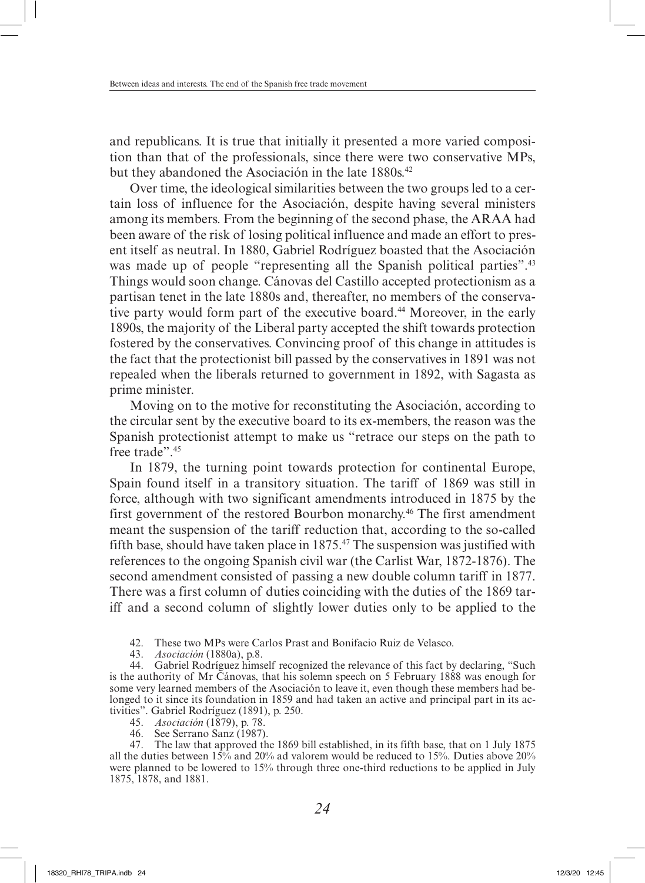and republicans. It is true that initially it presented a more varied composition than that of the professionals, since there were two conservative MPs, but they abandoned the Asociación in the late 1880s.<sup>42</sup>

Over time, the ideological similarities between the two groups led to a certain loss of influence for the Asociación, despite having several ministers among its members. From the beginning of the second phase, the ARAA had been aware of the risk of losing political influence and made an effort to present itself as neutral. In 1880, Gabriel Rodríguez boasted that the Asociación was made up of people "representing all the Spanish political parties".<sup>43</sup> Things would soon change. Cánovas del Castillo accepted protectionism as a partisan tenet in the late 1880s and, thereafter, no members of the conservative party would form part of the executive board.<sup>44</sup> Moreover, in the early 1890s, the majority of the Liberal party accepted the shift towards protection fostered by the conservatives. Convincing proof of this change in attitudes is the fact that the protectionist bill passed by the conservatives in 1891 was not repealed when the liberals returned to government in 1892, with Sagasta as prime minister.

Moving on to the motive for reconstituting the Asociación, according to the circular sent by the executive board to its ex-members, the reason was the Spanish protectionist attempt to make us "retrace our steps on the path to free trade". 45

In 1879, the turning point towards protection for continental Europe, Spain found itself in a transitory situation. The tariff of 1869 was still in force, although with two significant amendments introduced in 1875 by the first government of the restored Bourbon monarchy.46 The first amendment meant the suspension of the tariff reduction that, according to the so-called fifth base, should have taken place in  $1875<sup>47</sup>$ . The suspension was justified with references to the ongoing Spanish civil war (the Carlist War, 1872-1876). The second amendment consisted of passing a new double column tariff in 1877. There was a first column of duties coinciding with the duties of the 1869 tariff and a second column of slightly lower duties only to be applied to the

42. These two MPs were Carlos Prast and Bonifacio Ruiz de Velasco.

43. *Asociación* (1880a), p.8.

44. Gabriel Rodríguez himself recognized the relevance of this fact by declaring, "Such is the authority of Mr Cánovas, that his solemn speech on 5 February 1888 was enough for some very learned members of the Asociación to leave it, even though these members had belonged to it since its foundation in 1859 and had taken an active and principal part in its activities". Gabriel Rodríguez (1891), p. 250.

- 45. *Asociación* (1879), p. 78.
- 46. See Serrano Sanz (1987).

47. The law that approved the 1869 bill established, in its fifth base, that on 1 July 1875 all the duties between  $15\%$  and  $20\%$  ad valorem would be reduced to  $15\%$ . Duties above  $20\%$ were planned to be lowered to 15% through three one-third reductions to be applied in July 1875, 1878, and 1881.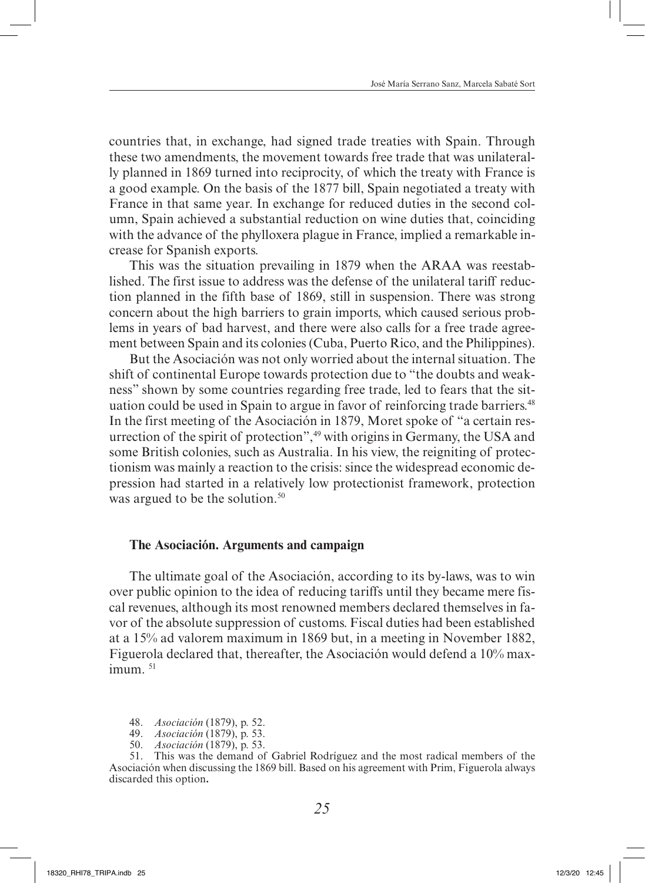countries that, in exchange, had signed trade treaties with Spain. Through these two amendments, the movement towards free trade that was unilaterally planned in 1869 turned into reciprocity, of which the treaty with France is a good example. On the basis of the 1877 bill, Spain negotiated a treaty with France in that same year. In exchange for reduced duties in the second column, Spain achieved a substantial reduction on wine duties that, coinciding with the advance of the phylloxera plague in France, implied a remarkable increase for Spanish exports.

This was the situation prevailing in 1879 when the ARAA was reestablished. The first issue to address was the defense of the unilateral tariff reduction planned in the fifth base of 1869, still in suspension. There was strong concern about the high barriers to grain imports, which caused serious problems in years of bad harvest, and there were also calls for a free trade agreement between Spain and its colonies (Cuba, Puerto Rico, and the Philippines).

But the Asociación was not only worried about the internal situation. The shift of continental Europe towards protection due to "the doubts and weakness" shown by some countries regarding free trade, led to fears that the situation could be used in Spain to argue in favor of reinforcing trade barriers.<sup>48</sup> In the first meeting of the Asociación in 1879, Moret spoke of "a certain resurrection of the spirit of protection",<sup>49</sup> with origins in Germany, the USA and some British colonies, such as Australia. In his view, the reigniting of protectionism was mainly a reaction to the crisis: since the widespread economic depression had started in a relatively low protectionist framework, protection was argued to be the solution.<sup>50</sup>

#### **The Asociación. Arguments and campaign**

The ultimate goal of the Asociación, according to its by-laws, was to win over public opinion to the idea of reducing tariffs until they became mere fiscal revenues, although its most renowned members declared themselves in favor of the absolute suppression of customs. Fiscal duties had been established at a 15% ad valorem maximum in 1869 but, in a meeting in November 1882, Figuerola declared that, thereafter, the Asociación would defend a 10% max $imum<sup>51</sup>$ 

48. *Asociación* (1879), p. 52.

49. *Asociación* (1879), p. 53.

50. *Asociación* (1879), p. 53.

51. This was the demand of Gabriel Rodríguez and the most radical members of the Asociación when discussing the 1869 bill. Based on his agreement with Prim, Figuerola always discarded this option**.**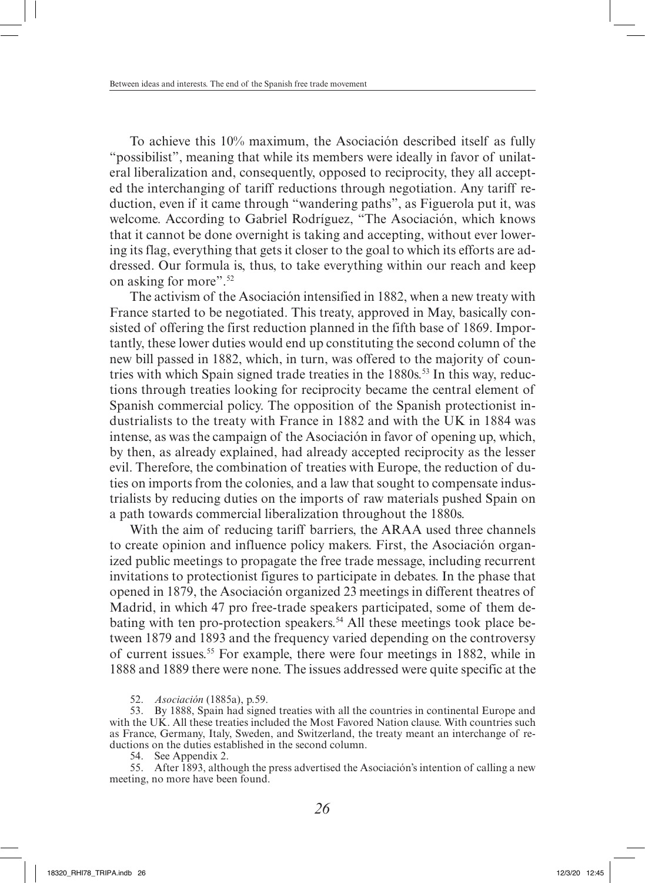To achieve this 10% maximum, the Asociación described itself as fully "possibilist", meaning that while its members were ideally in favor of unilateral liberalization and, consequently, opposed to reciprocity, they all accepted the interchanging of tariff reductions through negotiation. Any tariff reduction, even if it came through "wandering paths", as Figuerola put it, was welcome. According to Gabriel Rodríguez, "The Asociación, which knows that it cannot be done overnight is taking and accepting, without ever lowering its flag, everything that gets it closer to the goal to which its efforts are addressed. Our formula is, thus, to take everything within our reach and keep on asking for more".52

The activism of the Asociación intensified in 1882, when a new treaty with France started to be negotiated. This treaty, approved in May, basically consisted of offering the first reduction planned in the fifth base of 1869. Importantly, these lower duties would end up constituting the second column of the new bill passed in 1882, which, in turn, was offered to the majority of countries with which Spain signed trade treaties in the  $1880s$ <sup>53</sup> In this way, reductions through treaties looking for reciprocity became the central element of Spanish commercial policy. The opposition of the Spanish protectionist industrialists to the treaty with France in 1882 and with the UK in 1884 was intense, as was the campaign of the Asociación in favor of opening up, which, by then, as already explained, had already accepted reciprocity as the lesser evil. Therefore, the combination of treaties with Europe, the reduction of duties on imports from the colonies, and a law that sought to compensate industrialists by reducing duties on the imports of raw materials pushed Spain on a path towards commercial liberalization throughout the 1880s.

With the aim of reducing tariff barriers, the ARAA used three channels to create opinion and influence policy makers. First, the Asociación organized public meetings to propagate the free trade message, including recurrent invitations to protectionist figures to participate in debates. In the phase that opened in 1879, the Asociación organized 23 meetings in different theatres of Madrid, in which 47 pro free-trade speakers participated, some of them debating with ten pro-protection speakers.<sup>54</sup> All these meetings took place between 1879 and 1893 and the frequency varied depending on the controversy of current issues.55 For example, there were four meetings in 1882, while in 1888 and 1889 there were none. The issues addressed were quite specific at the

52. *Asociación* (1885a), p.59.

53. By 1888, Spain had signed treaties with all the countries in continental Europe and with the UK. All these treaties included the Most Favored Nation clause. With countries such as France, Germany, Italy, Sweden, and Switzerland, the treaty meant an interchange of reductions on the duties established in the second column.

54. See Appendix 2.

55. After 1893, although the press advertised the Asociación's intention of calling a new meeting, no more have been found.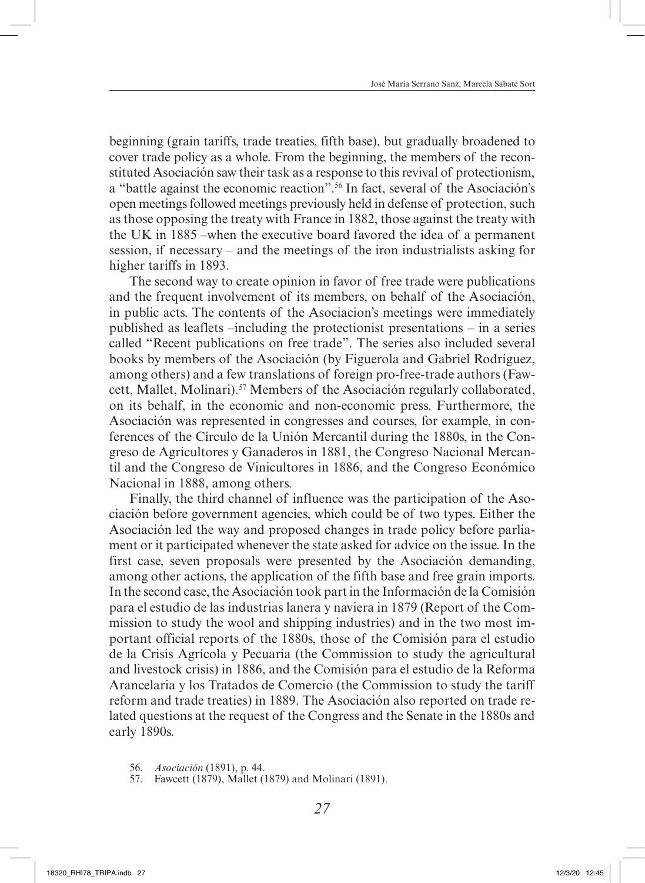beginning (grain tariffs, trade treaties, fifth base), but gradually broadened to cover trade policy as a whole. From the beginning, the members of the reconstituted Asociación saw their task as a response to this revival of protectionism, a "battle against the economic reaction".56 In fact, several of the Asociación's open meetings followed meetings previously held in defense of protection, such as those opposing the treaty with France in 1882, those against the treaty with the UK in 1885 –when the executive board favored the idea of a permanent session, if necessary – and the meetings of the iron industrialists asking for higher tariffs in 1893.

The second way to create opinion in favor of free trade were publications and the frequent involvement of its members, on behalf of the Asociación, in public acts. The contents of the Asociacion's meetings were immediately published as leaflets –including the protectionist presentations – in a series called "Recent publications on free trade". The series also included several books by members of the Asociación (by Figuerola and Gabriel Rodríguez, among others) and a few translations of foreign pro-free-trade authors (Fawcett, Mallet, Molinari).<sup>57</sup> Members of the Asociación regularly collaborated, on its behalf, in the economic and non-economic press. Furthermore, the Asociación was represented in congresses and courses, for example, in conferences of the Círculo de la Unión Mercantil during the 1880s, in the Congreso de Agricultores y Ganaderos in 1881, the Congreso Nacional Mercantil and the Congreso de Vinicultores in 1886, and the Congreso Económico Nacional in 1888, among others.

Finally, the third channel of influence was the participation of the Asociación before government agencies, which could be of two types. Either the Asociación led the way and proposed changes in trade policy before parliament or it participated whenever the state asked for advice on the issue. In the first case, seven proposals were presented by the Asociación demanding, among other actions, the application of the fifth base and free grain imports. In the second case, the Asociación took part in the Información de la Comisión para el estudio de las industrias lanera y naviera in 1879 (Report of the Commission to study the wool and shipping industries) and in the two most important official reports of the 1880s, those of the Comisión para el estudio de la Crisis Agrícola y Pecuaria (the Commission to study the agricultural and livestock crisis) in 1886, and the Comisión para el estudio de la Reforma Arancelaria y los Tratados de Comercio (the Commission to study the tariff reform and trade treaties) in 1889. The Asociación also reported on trade related questions at the request of the Congress and the Senate in the 1880s and early 1890s.

- 56. *Asociación* (1891), p. 44.
- 57. Fawcett (1879), Mallet (1879) and Molinari (1891).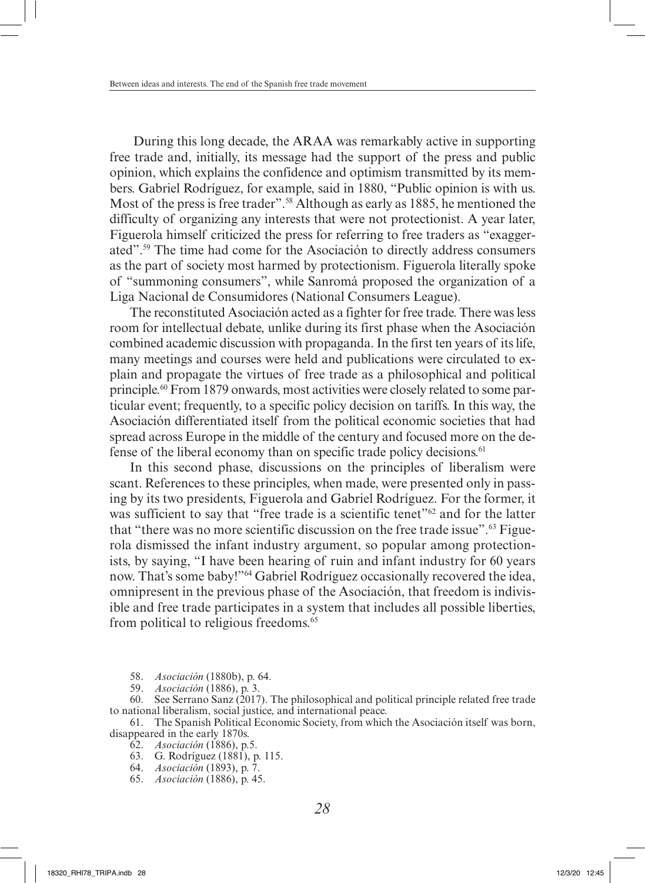During this long decade, the ARAA was remarkably active in supporting free trade and, initially, its message had the support of the press and public opinion, which explains the confidence and optimism transmitted by its members. Gabriel Rodríguez, for example, said in 1880, "Public opinion is with us. Most of the press is free trader".<sup>58</sup> Although as early as 1885, he mentioned the difficulty of organizing any interests that were not protectionist. A year later, Figuerola himself criticized the press for referring to free traders as "exaggerated".59 The time had come for the Asociación to directly address consumers as the part of society most harmed by protectionism. Figuerola literally spoke of "summoning consumers", while Sanromá proposed the organization of a Liga Nacional de Consumidores (National Consumers League).

The reconstituted Asociación acted as a fighter for free trade. There was less room for intellectual debate, unlike during its first phase when the Asociación combined academic discussion with propaganda. In the first ten years of its life, many meetings and courses were held and publications were circulated to explain and propagate the virtues of free trade as a philosophical and political principle.60 From 1879 onwards, most activities were closely related to some particular event; frequently, to a specific policy decision on tariffs. In this way, the Asociación differentiated itself from the political economic societies that had spread across Europe in the middle of the century and focused more on the defense of the liberal economy than on specific trade policy decisions.<sup>61</sup>

In this second phase, discussions on the principles of liberalism were scant. References to these principles, when made, were presented only in passing by its two presidents, Figuerola and Gabriel Rodríguez. For the former, it was sufficient to say that "free trade is a scientific tenet"<sup>62</sup> and for the latter that "there was no more scientific discussion on the free trade issue".63 Figuerola dismissed the infant industry argument, so popular among protectionists, by saying, "I have been hearing of ruin and infant industry for 60 years now. That's some baby!"64 Gabriel Rodríguez occasionally recovered the idea, omnipresent in the previous phase of the Asociación, that freedom is indivisible and free trade participates in a system that includes all possible liberties, from political to religious freedoms.65

58. *Asociación* (1880b), p. 64.

59. *Asociación* (1886), p. 3.

60. See Serrano Sanz (2017). The philosophical and political principle related free trade to national liberalism, social justice, and international peace.

61. The Spanish Political Economic Society, from which the Asociación itself was born, disappeared in the early 1870s.

- 62. *Asociación* (1886), p.5.
- 63. G. Rodríguez (1881), p. 115.
- 64. *Asociación* (1893), p. 7.
- 65. *Asociación* (1886), p. 45.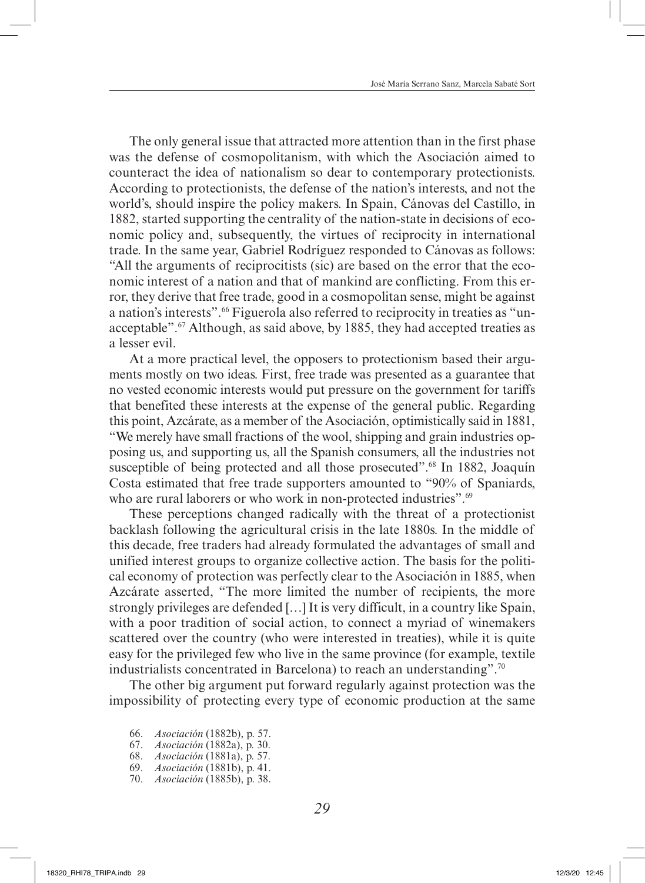The only general issue that attracted more attention than in the first phase was the defense of cosmopolitanism, with which the Asociación aimed to counteract the idea of nationalism so dear to contemporary protectionists. According to protectionists, the defense of the nation's interests, and not the world's, should inspire the policy makers. In Spain, Cánovas del Castillo, in 1882, started supporting the centrality of the nation-state in decisions of economic policy and, subsequently, the virtues of reciprocity in international trade. In the same year, Gabriel Rodríguez responded to Cánovas as follows: "All the arguments of reciprocitists (sic) are based on the error that the economic interest of a nation and that of mankind are conflicting. From this error, they derive that free trade, good in a cosmopolitan sense, might be against a nation's interests".66 Figuerola also referred to reciprocity in treaties as "unacceptable".<sup>67</sup> Although, as said above, by 1885, they had accepted treaties as a lesser evil.

At a more practical level, the opposers to protectionism based their arguments mostly on two ideas. First, free trade was presented as a guarantee that no vested economic interests would put pressure on the government for tariffs that benefited these interests at the expense of the general public. Regarding this point, Azcárate, as a member of the Asociación, optimistically said in 1881, "We merely have small fractions of the wool, shipping and grain industries opposing us, and supporting us, all the Spanish consumers, all the industries not susceptible of being protected and all those prosecuted".<sup>68</sup> In 1882, Joaquín Costa estimated that free trade supporters amounted to "90% of Spaniards, who are rural laborers or who work in non-protected industries".<sup>69</sup>

These perceptions changed radically with the threat of a protectionist backlash following the agricultural crisis in the late 1880s. In the middle of this decade, free traders had already formulated the advantages of small and unified interest groups to organize collective action. The basis for the political economy of protection was perfectly clear to the Asociación in 1885, when Azcárate asserted, "The more limited the number of recipients, the more strongly privileges are defended […] It is very difficult, in a country like Spain, with a poor tradition of social action, to connect a myriad of winemakers scattered over the country (who were interested in treaties), while it is quite easy for the privileged few who live in the same province (for example, textile industrialists concentrated in Barcelona) to reach an understanding".<sup>70</sup>

The other big argument put forward regularly against protection was the impossibility of protecting every type of economic production at the same

- 66. *Asociación* (1882b), p. 57.
- 67. *Asociación* (1882a), p. 30.
- 68. *Asociación* (1881a), p. 57.
- 69. *Asociación* (1881b), p. 41.
- 70. *Asociación* (1885b), p. 38.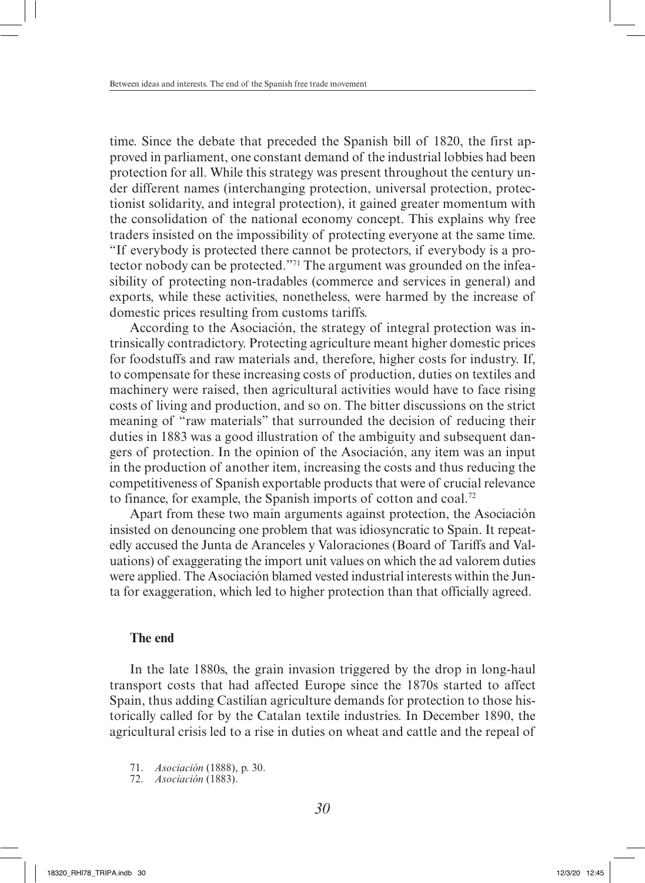time. Since the debate that preceded the Spanish bill of 1820, the first approved in parliament, one constant demand of the industrial lobbies had been protection for all. While this strategy was present throughout the century under different names (interchanging protection, universal protection, protectionist solidarity, and integral protection), it gained greater momentum with the consolidation of the national economy concept. This explains why free traders insisted on the impossibility of protecting everyone at the same time. "If everybody is protected there cannot be protectors, if everybody is a protector nobody can be protected."71 The argument was grounded on the infeasibility of protecting non-tradables (commerce and services in general) and exports, while these activities, nonetheless, were harmed by the increase of domestic prices resulting from customs tariffs.

According to the Asociación, the strategy of integral protection was intrinsically contradictory. Protecting agriculture meant higher domestic prices for foodstuffs and raw materials and, therefore, higher costs for industry. If, to compensate for these increasing costs of production, duties on textiles and machinery were raised, then agricultural activities would have to face rising costs of living and production, and so on. The bitter discussions on the strict meaning of "raw materials" that surrounded the decision of reducing their duties in 1883 was a good illustration of the ambiguity and subsequent dangers of protection. In the opinion of the Asociación, any item was an input in the production of another item, increasing the costs and thus reducing the competitiveness of Spanish exportable products that were of crucial relevance to finance, for example, the Spanish imports of cotton and coal.<sup>72</sup>

Apart from these two main arguments against protection, the Asociación insisted on denouncing one problem that was idiosyncratic to Spain. It repeatedly accused the Junta de Aranceles y Valoraciones (Board of Tariffs and Valuations) of exaggerating the import unit values on which the ad valorem duties were applied. The Asociación blamed vested industrial interests within the Junta for exaggeration, which led to higher protection than that officially agreed.

### **The end**

In the late 1880s, the grain invasion triggered by the drop in long-haul transport costs that had affected Europe since the 1870s started to affect Spain, thus adding Castilian agriculture demands for protection to those historically called for by the Catalan textile industries. In December 1890, the agricultural crisis led to a rise in duties on wheat and cattle and the repeal of

71. *Asociación* (1888), p. 30.

72. *Asociación* (1883).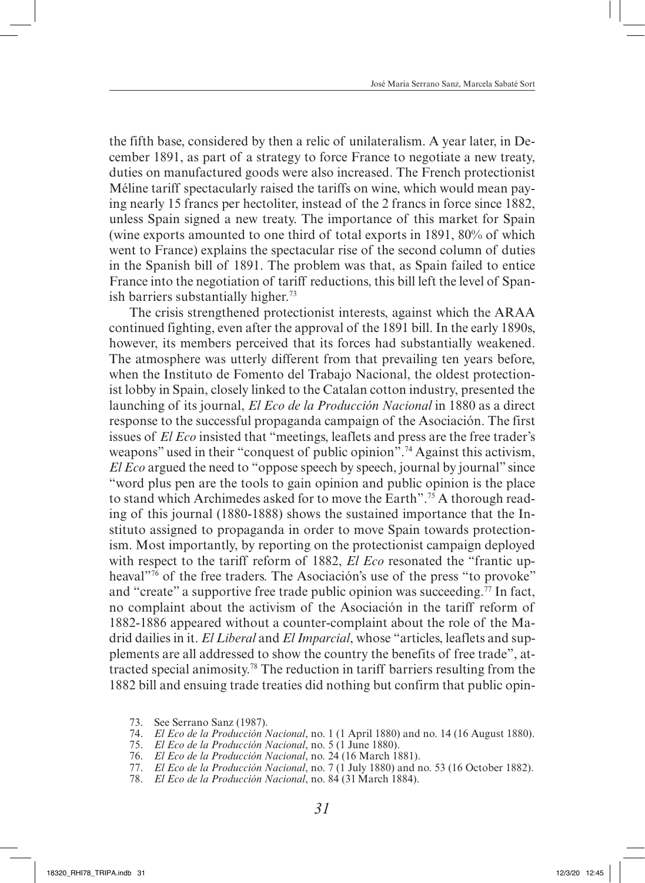the fifth base, considered by then a relic of unilateralism. A year later, in December 1891, as part of a strategy to force France to negotiate a new treaty, duties on manufactured goods were also increased. The French protectionist Méline tariff spectacularly raised the tariffs on wine, which would mean paying nearly 15 francs per hectoliter, instead of the 2 francs in force since 1882, unless Spain signed a new treaty. The importance of this market for Spain (wine exports amounted to one third of total exports in 1891, 80% of which went to France) explains the spectacular rise of the second column of duties in the Spanish bill of 1891. The problem was that, as Spain failed to entice France into the negotiation of tariff reductions, this bill left the level of Spanish barriers substantially higher.<sup>73</sup>

The crisis strengthened protectionist interests, against which the ARAA continued fighting, even after the approval of the 1891 bill. In the early 1890s, however, its members perceived that its forces had substantially weakened. The atmosphere was utterly different from that prevailing ten years before, when the Instituto de Fomento del Trabajo Nacional, the oldest protectionist lobby in Spain, closely linked to the Catalan cotton industry, presented the launching of its journal, *El Eco de la Producción Nacional* in 1880 as a direct response to the successful propaganda campaign of the Asociación. The first issues of *El Eco* insisted that "meetings, leaflets and press are the free trader's weapons" used in their "conquest of public opinion".<sup>74</sup> Against this activism, *El Eco* argued the need to "oppose speech by speech, journal by journal" since "word plus pen are the tools to gain opinion and public opinion is the place to stand which Archimedes asked for to move the Earth".75 A thorough reading of this journal (1880-1888) shows the sustained importance that the Instituto assigned to propaganda in order to move Spain towards protectionism. Most importantly, by reporting on the protectionist campaign deployed with respect to the tariff reform of 1882, *El Eco* resonated the "frantic upheaval<sup>"76</sup> of the free traders. The Asociación's use of the press "to provoke" and "create" a supportive free trade public opinion was succeeding.<sup>77</sup> In fact, no complaint about the activism of the Asociación in the tariff reform of 1882-1886 appeared without a counter-complaint about the role of the Madrid dailies in it. *El Liberal* and *El Imparcial*, whose "articles, leaflets and supplements are all addressed to show the country the benefits of free trade", attracted special animosity.78 The reduction in tariff barriers resulting from the 1882 bill and ensuing trade treaties did nothing but confirm that public opin-

- 73. See Serrano Sanz (1987).
- 74. *El Eco de la Producción Nacional*, no. 1 (1 April 1880) and no. 14 (16 August 1880).
- 75. *El Eco de la Producción Nacional*, no. 5 (1 June 1880).
- 76. *El Eco de la Producción Nacional*, no. 24 (16 March 1881).
- 77. *El Eco de la Producción Nacional*, no. 7 (1 July 1880) and no. 53 (16 October 1882).
- 78. *El Eco de la Producción Nacional*, no. 84 (31March 1884).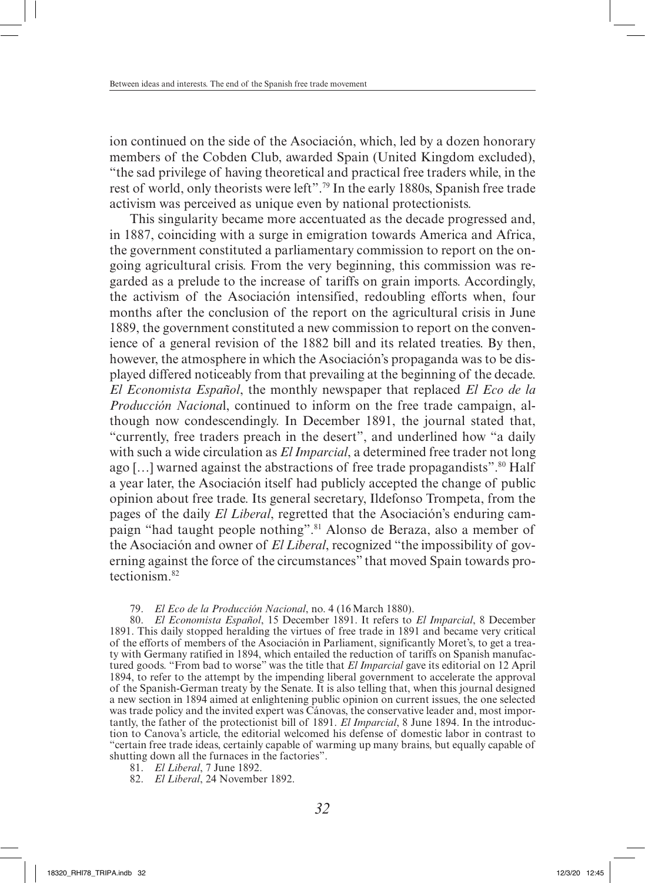ion continued on the side of the Asociación, which, led by a dozen honorary members of the Cobden Club, awarded Spain (United Kingdom excluded), "the sad privilege of having theoretical and practical free traders while, in the rest of world, only theorists were left".79 In the early 1880s, Spanish free trade activism was perceived as unique even by national protectionists.

This singularity became more accentuated as the decade progressed and, in 1887, coinciding with a surge in emigration towards America and Africa, the government constituted a parliamentary commission to report on the ongoing agricultural crisis. From the very beginning, this commission was regarded as a prelude to the increase of tariffs on grain imports. Accordingly, the activism of the Asociación intensified, redoubling efforts when, four months after the conclusion of the report on the agricultural crisis in June 1889, the government constituted a new commission to report on the convenience of a general revision of the 1882 bill and its related treaties. By then, however, the atmosphere in which the Asociación's propaganda was to be displayed differed noticeably from that prevailing at the beginning of the decade. *El Economista Español*, the monthly newspaper that replaced *El Eco de la Producción Naciona*l, continued to inform on the free trade campaign, although now condescendingly. In December 1891, the journal stated that, "currently, free traders preach in the desert", and underlined how "a daily with such a wide circulation as *El Imparcial*, a determined free trader not long ago [ $\dots$ ] warned against the abstractions of free trade propagandists".<sup>80</sup> Half a year later, the Asociación itself had publicly accepted the change of public opinion about free trade. Its general secretary, Ildefonso Trompeta, from the pages of the daily *El Liberal*, regretted that the Asociación's enduring campaign "had taught people nothing".<sup>81</sup> Alonso de Beraza, also a member of the Asociación and owner of *El Liberal*, recognized "the impossibility of governing against the force of the circumstances" that moved Spain towards protectionism.82

#### 79. *El Eco de la Producción Nacional*, no. 4 (16March 1880).

80. *El Economista Español*, 15 December 1891. It refers to *El Imparcial*, 8 December 1891. This daily stopped heralding the virtues of free trade in 1891 and became very critical of the efforts of members of the Asociación in Parliament, significantly Moret's, to get a treaty with Germany ratified in 1894, which entailed the reduction of tariffs on Spanish manufactured goods. "From bad to worse" was the title that *El Imparcial* gave its editorial on 12 April 1894, to refer to the attempt by the impending liberal government to accelerate the approval of the Spanish-German treaty by the Senate. It is also telling that, when this journal designed a new section in 1894 aimed at enlightening public opinion on current issues, the one selected was trade policy and the invited expert was Cánovas, the conservative leader and, most importantly, the father of the protectionist bill of 1891. *El Imparcial*, 8 June 1894. In the introduction to Canova's article, the editorial welcomed his defense of domestic labor in contrast to "certain free trade ideas, certainly capable of warming up many brains, but equally capable of shutting down all the furnaces in the factories".

- 81. *El Liberal*, 7 June 1892.
- 82. *El Liberal*, 24 November 1892.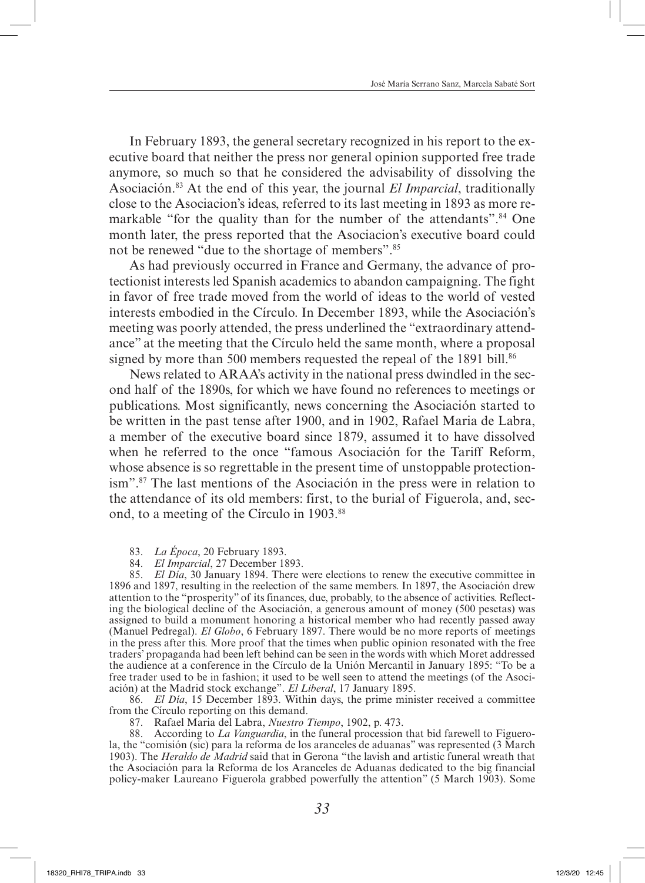In February 1893, the general secretary recognized in his report to the executive board that neither the press nor general opinion supported free trade anymore, so much so that he considered the advisability of dissolving the Asociación.83 At the end of this year, the journal *El Imparcial*, traditionally close to the Asociacion's ideas, referred to its last meeting in 1893 as more remarkable "for the quality than for the number of the attendants".<sup>84</sup> One month later, the press reported that the Asociacion's executive board could not be renewed "due to the shortage of members".85

As had previously occurred in France and Germany, the advance of protectionist interests led Spanish academics to abandon campaigning. The fight in favor of free trade moved from the world of ideas to the world of vested interests embodied in the Círculo. In December 1893, while the Asociación's meeting was poorly attended, the press underlined the "extraordinary attendance" at the meeting that the Círculo held the same month, where a proposal signed by more than 500 members requested the repeal of the 1891 bill.<sup>86</sup>

News related to ARAA's activity in the national press dwindled in the second half of the 1890s, for which we have found no references to meetings or publications. Most significantly, news concerning the Asociación started to be written in the past tense after 1900, and in 1902, Rafael Maria de Labra, a member of the executive board since 1879, assumed it to have dissolved when he referred to the once "famous Asociación for the Tariff Reform, whose absence is so regrettable in the present time of unstoppable protectionism".87 The last mentions of the Asociación in the press were in relation to the attendance of its old members: first, to the burial of Figuerola, and, second, to a meeting of the Círculo in 1903.<sup>88</sup>

83. *La Época*, 20 February 1893.

84. *El Imparcial*, 27 December 1893.

85. *El Día*, 30 January 1894. There were elections to renew the executive committee in 1896 and 1897, resulting in the reelection of the same members. In 1897, the Asociación drew attention to the "prosperity" of its finances, due, probably, to the absence of activities. Reflecting the biological decline of the Asociación, a generous amount of money (500 pesetas) was assigned to build a monument honoring a historical member who had recently passed away (Manuel Pedregal). *El Globo*, 6 February 1897. There would be no more reports of meetings in the press after this. More proof that the times when public opinion resonated with the free traders' propaganda had been left behind can be seen in the words with which Moret addressed the audience at a conference in the Círculo de la Unión Mercantil in January 1895: "To be a free trader used to be in fashion; it used to be well seen to attend the meetings (of the Asociación) at the Madrid stock exchange". *El Liberal*, 17 January 1895.

86. *El Día*, 15 December 1893. Within days, the prime minister received a committee from the Círculo reporting on this demand.

87. Rafael Maria del Labra, *Nuestro Tiempo*, 1902, p. 473.

88. According to *La Vanguardia*, in the funeral procession that bid farewell to Figuerola, the "comisión (sic) para la reforma de los aranceles de aduanas" was represented (3 March 1903). The *Heraldo de Madrid* said that in Gerona "the lavish and artistic funeral wreath that the Asociación para la Reforma de los Aranceles de Aduanas dedicated to the big financial policy-maker Laureano Figuerola grabbed powerfully the attention" (5 March 1903). Some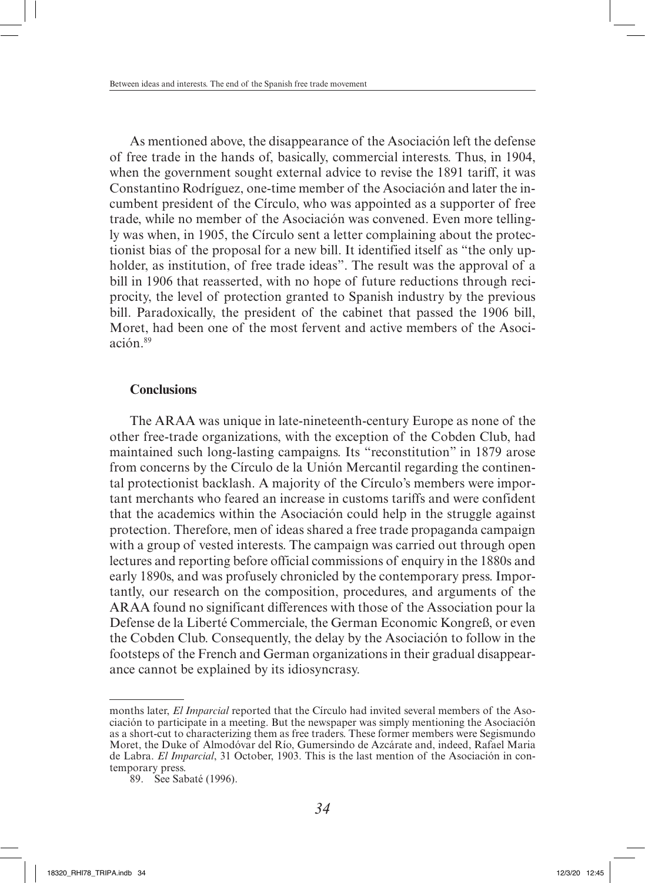As mentioned above, the disappearance of the Asociación left the defense of free trade in the hands of, basically, commercial interests. Thus, in 1904, when the government sought external advice to revise the 1891 tariff, it was Constantino Rodríguez, one-time member of the Asociación and later the incumbent president of the Círculo, who was appointed as a supporter of free trade, while no member of the Asociación was convened. Even more tellingly was when, in 1905, the Círculo sent a letter complaining about the protectionist bias of the proposal for a new bill. It identified itself as "the only upholder, as institution, of free trade ideas". The result was the approval of a bill in 1906 that reasserted, with no hope of future reductions through reciprocity, the level of protection granted to Spanish industry by the previous bill. Paradoxically, the president of the cabinet that passed the 1906 bill, Moret, had been one of the most fervent and active members of the Asociación 89

### **Conclusions**

The ARAA was unique in late-nineteenth-century Europe as none of the other free-trade organizations, with the exception of the Cobden Club, had maintained such long-lasting campaigns. Its "reconstitution" in 1879 arose from concerns by the Círculo de la Unión Mercantil regarding the continental protectionist backlash. A majority of the Círculo's members were important merchants who feared an increase in customs tariffs and were confident that the academics within the Asociación could help in the struggle against protection. Therefore, men of ideas shared a free trade propaganda campaign with a group of vested interests. The campaign was carried out through open lectures and reporting before official commissions of enquiry in the 1880s and early 1890s, and was profusely chronicled by the contemporary press. Importantly, our research on the composition, procedures, and arguments of the ARAA found no significant differences with those of the Association pour la Defense de la Liberté Commerciale, the German Economic Kongreß, or even the Cobden Club. Consequently, the delay by the Asociación to follow in the footsteps of the French and German organizations in their gradual disappearance cannot be explained by its idiosyncrasy.

months later, *El Imparcial* reported that the Círculo had invited several members of the Asociación to participate in a meeting. But the newspaper was simply mentioning the Asociación as a short-cut to characterizing them as free traders. These former members were Segismundo Moret, the Duke of Almodóvar del Río, Gumersindo de Azcárate and, indeed, Rafael Maria de Labra. *El Imparcial*, 31 October, 1903. This is the last mention of the Asociación in contemporary press.

<sup>89.</sup> See Sabaté (1996).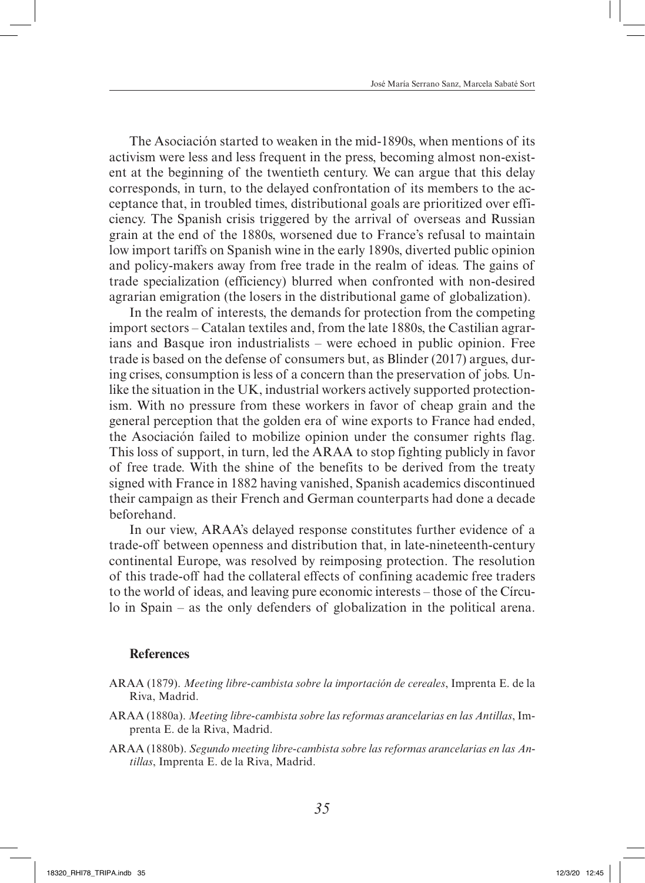The Asociación started to weaken in the mid-1890s, when mentions of its activism were less and less frequent in the press, becoming almost non-existent at the beginning of the twentieth century. We can argue that this delay corresponds, in turn, to the delayed confrontation of its members to the acceptance that, in troubled times, distributional goals are prioritized over efficiency. The Spanish crisis triggered by the arrival of overseas and Russian grain at the end of the 1880s, worsened due to France's refusal to maintain low import tariffs on Spanish wine in the early 1890s, diverted public opinion and policy-makers away from free trade in the realm of ideas. The gains of trade specialization (efficiency) blurred when confronted with non-desired agrarian emigration (the losers in the distributional game of globalization).

In the realm of interests, the demands for protection from the competing import sectors – Catalan textiles and, from the late 1880s, the Castilian agrarians and Basque iron industrialists – were echoed in public opinion. Free trade is based on the defense of consumers but, as Blinder (2017) argues, during crises, consumption is less of a concern than the preservation of jobs. Unlike the situation in the UK, industrial workers actively supported protectionism. With no pressure from these workers in favor of cheap grain and the general perception that the golden era of wine exports to France had ended, the Asociación failed to mobilize opinion under the consumer rights flag. This loss of support, in turn, led the ARAA to stop fighting publicly in favor of free trade. With the shine of the benefits to be derived from the treaty signed with France in 1882 having vanished, Spanish academics discontinued their campaign as their French and German counterparts had done a decade beforehand.

In our view, ARAA's delayed response constitutes further evidence of a trade-off between openness and distribution that, in late-nineteenth-century continental Europe, was resolved by reimposing protection. The resolution of this trade-off had the collateral effects of confining academic free traders to the world of ideas, and leaving pure economic interests – those of the Círculo in Spain – as the only defenders of globalization in the political arena.

#### **References**

- ARAA (1879). *Meeting libre-cambista sobre la importación de cereales*, Imprenta E. de la Riva, Madrid.
- ARAA (1880a). *Meeting libre-cambista sobre las reformas arancelarias en las Antillas*, Imprenta E. de la Riva, Madrid.
- ARAA (1880b). *Segundo meeting libre-cambista sobre las reformas arancelarias en las Antillas*, Imprenta E. de la Riva, Madrid.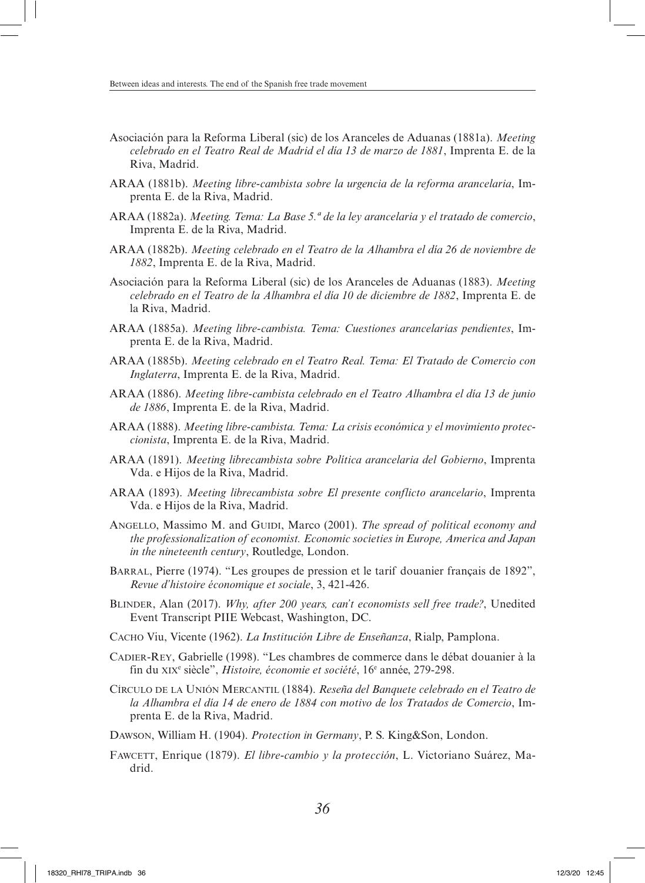- Asociación para la Reforma Liberal (sic) de los Aranceles de Aduanas (1881a). *Meeting celebrado en el Teatro Real de Madrid el día 13 de marzo de 1881*, Imprenta E. de la Riva, Madrid.
- ARAA (1881b). *Meeting libre-cambista sobre la urgencia de la reforma arancelaria*, Imprenta E. de la Riva, Madrid.
- ARAA (1882a). *Meeting. Tema: La Base 5.ª de la ley arancelaria y el tratado de comercio*, Imprenta E. de la Riva, Madrid.
- ARAA (1882b). *Meeting celebrado en el Teatro de la Alhambra el día 26 de noviembre de 1882*, Imprenta E. de la Riva, Madrid.
- Asociación para la Reforma Liberal (sic) de los Aranceles de Aduanas (1883). *Meeting celebrado en el Teatro de la Alhambra el día 10 de diciembre de 1882*, Imprenta E. de la Riva, Madrid.
- ARAA (1885a). *Meeting libre-cambista. Tema: Cuestiones arancelarias pendientes*, Imprenta E. de la Riva, Madrid.
- ARAA (1885b). *Meeting celebrado en el Teatro Real. Tema: El Tratado de Comercio con Inglaterra*, Imprenta E. de la Riva, Madrid.
- ARAA (1886). *Meeting libre-cambista celebrado en el Teatro Alhambra el día 13 de junio de 1886*, Imprenta E. de la Riva, Madrid.
- ARAA (1888). *Meeting libre-cambista. Tema: La crisis económica y el movimiento proteccionista*, Imprenta E. de la Riva, Madrid.
- ARAA (1891). *Meeting librecambista sobre Política arancelaria del Gobierno*, Imprenta Vda. e Hijos de la Riva, Madrid.
- ARAA (1893). *Meeting librecambista sobre El presente conflicto arancelario*, Imprenta Vda. e Hijos de la Riva, Madrid.
- ANGELLO, Massimo M. and GUIDI, Marco (2001). *The spread of political economy and the professionalization of economist. Economic societies in Europe, America and Japan in the nineteenth century*, Routledge, London.
- Barral, Pierre (1974). "Les groupes de pression et le tarif douanier français de 1892", *Revue d'histoire économique et sociale*, 3, 421-426.
- Blinder, Alan (2017). *Why, after 200 years, can't economists sell free trade?*, Unedited Event Transcript PIIE Webcast, Washington, DC.
- Cacho Viu, Vicente (1962). *La Institución Libre de Enseñanza*, Rialp, Pamplona.
- Cadier-Rey, Gabrielle (1998). "Les chambres de commerce dans le débat douanier à la fin du xix<sup>e</sup> siècle", *Histoire, économie et société*, 16e année, 279-298.
- Círculo de la Unión Mercantil (1884). *Reseña del Banquete celebrado en el Teatro de la Alhambra el día 14 de enero de 1884 con motivo de los Tratados de Comercio*, Imprenta E. de la Riva, Madrid.
- Dawson, William H. (1904). *Protection in Germany*, P. S. King&Son, London.
- Fawcett, Enrique (1879). *El libre-cambio y la protección*, L. Victoriano Suárez, Madrid.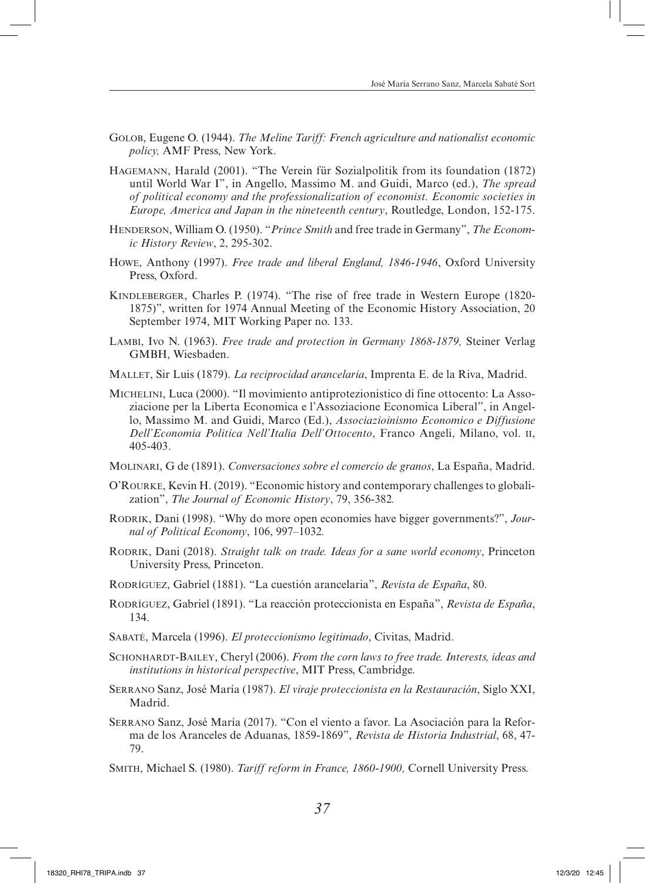- Golob, Eugene O. (1944). *The Meline Tariff: French agriculture and nationalist economic policy,* AMF Press, New York.
- Hagemann, Harald (2001). "The Verein für Sozialpolitik from its foundation (1872) until World War I", in Angello, Massimo M. and Guidi, Marco (ed.), *The spread of political economy and the professionalization of economist. Economic societies in Europe, America and Japan in the nineteenth century*, Routledge, London, 152-175.
- Henderson, William O. (1950). "*Prince Smith* and free trade in Germany", *The Economic History Review*, 2, 295-302.
- Howe, Anthony (1997). *Free trade and liberal England, 1846-1946*, Oxford University Press, Oxford.
- Kindleberger, Charles P. (1974). "The rise of free trade in Western Europe (1820- 1875)", written for 1974 Annual Meeting of the Economic History Association, 20 September 1974, MIT Working Paper no. 133.
- Lambi, Ivo N. (1963). *Free trade and protection in Germany 1868-1879,* Steiner Verlag GMBH, Wiesbaden.
- Mallet, Sir Luis (1879). *La reciprocidad arancelaria*, Imprenta E. de la Riva, Madrid.
- Michelini, Luca (2000). "Il movimiento antiprotezionistico di fine ottocento: La Assoziacione per la Liberta Economica e l'Assoziacione Economica Liberal", in Angello, Massimo M. and Guidi, Marco (Ed.), *Associazioinismo Economico e Diffusione Dell'Economia Politica Nell'Italia Dell'Ottocento*, Franco Angeli, Milano, vol. ii, 405-403.
- Molinari, G de (1891). *Conversaciones sobre el comercio de granos*, La España, Madrid.
- O'Rourke, Kevin H. (2019). "Economic history and contemporary challenges to globalization", *The Journal of Economic History*, 79, 356-382*.*
- Rodrik, Dani (1998). "Why do more open economies have bigger governments?", *Journal of Political Economy*, 106, 997–1032*.*
- RODRIK, Dani (2018). *Straight talk on trade. Ideas for a sane world economy*, Princeton University Press, Princeton.
- Rodríguez, Gabriel (1881). "La cuestión arancelaria", *Revista de España*, 80.
- Rodríguez, Gabriel (1891). "La reacción proteccionista en España", *Revista de España*, 134.
- Sabaté, Marcela (1996). *El proteccionismo legitimado*, Civitas, Madrid.
- Schonhardt-Bailey, Cheryl (2006). *From the corn laws to free trade. Interests, ideas and institutions in historical perspective*, MIT Press, Cambridge.
- Serrano Sanz, José María (1987). *El viraje proteccionista en la Restauración*, Siglo XXI, Madrid.
- Serrano Sanz, José María (2017). "Con el viento a favor. La Asociación para la Reforma de los Aranceles de Aduanas, 1859-1869", *Revista de Historia Industrial*, 68, 47- 79.
- Smith, Michael S. (1980). *Tariff reform in France, 1860-1900,* Cornell University Press.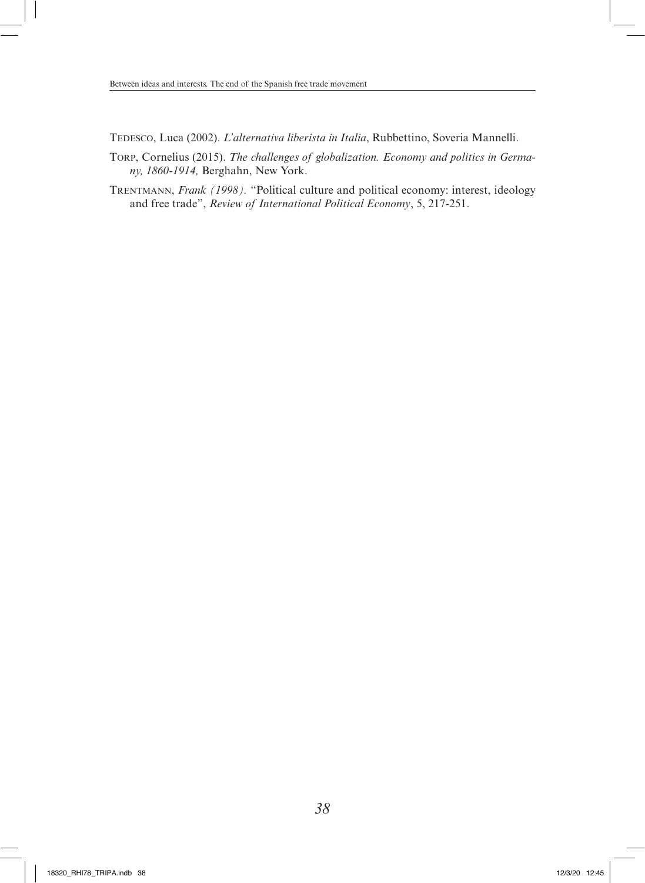Tedesco, Luca (2002). *L'alternativa liberista in Italia*, Rubbettino, Soveria Mannelli.

- Torp, Cornelius (2015). *The challenges of globalization. Economy and politics in Germany, 1860-1914,* Berghahn, New York.
- Trentmann, *Frank (1998).* "Political culture and political economy: interest, ideology and free trade", *Review of International Political Economy*, 5, 217-251.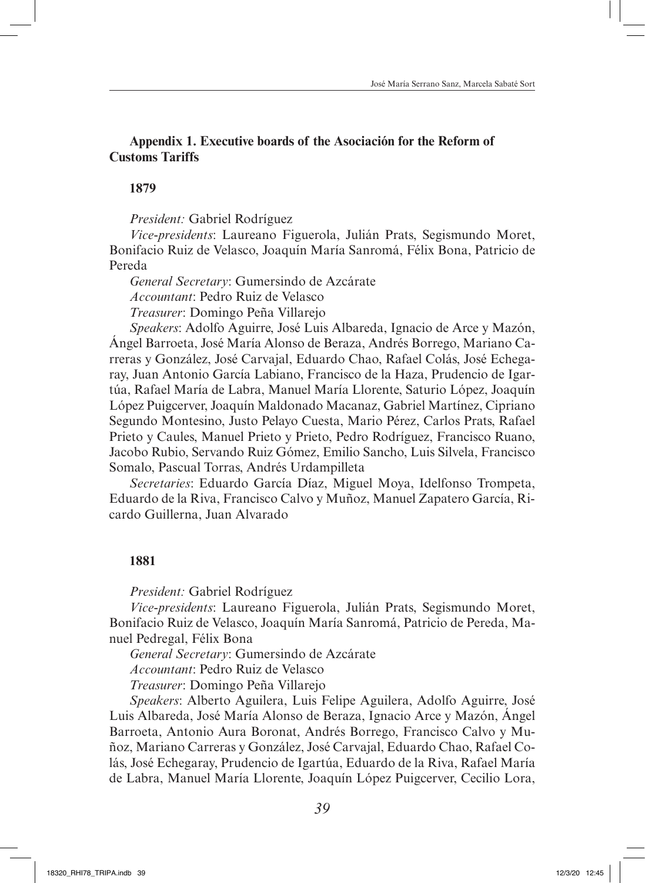## **Appendix 1. Executive boards of the Asociación for the Reform of Customs Tariffs**

### **1879**

*President:* Gabriel Rodríguez

*Vice-presidents*: Laureano Figuerola, Julián Prats, Segismundo Moret, Bonifacio Ruiz de Velasco, Joaquín María Sanromá, Félix Bona, Patricio de Pereda

*General Secretary*: Gumersindo de Azcárate *Accountant*: Pedro Ruiz de Velasco *Treasurer*: Domingo Peña Villarejo

*Speakers*: Adolfo Aguirre, José Luis Albareda, Ignacio de Arce y Mazón, Ángel Barroeta, José María Alonso de Beraza, Andrés Borrego, Mariano Carreras y González, José Carvajal, Eduardo Chao, Rafael Colás, José Echegaray, Juan Antonio García Labiano, Francisco de la Haza, Prudencio de Igartúa, Rafael María de Labra, Manuel María Llorente, Saturio López, Joaquín López Puigcerver, Joaquín Maldonado Macanaz, Gabriel Martínez, Cipriano Segundo Montesino, Justo Pelayo Cuesta, Mario Pérez, Carlos Prats, Rafael Prieto y Caules, Manuel Prieto y Prieto, Pedro Rodríguez, Francisco Ruano, Jacobo Rubio, Servando Ruiz Gómez, Emilio Sancho, Luis Silvela, Francisco Somalo, Pascual Torras, Andrés Urdampilleta

*Secretaries*: Eduardo García Díaz, Miguel Moya, Idelfonso Trompeta, Eduardo de la Riva, Francisco Calvo y Muñoz, Manuel Zapatero García, Ricardo Guillerna, Juan Alvarado

## **1881**

*President:* Gabriel Rodríguez

*Vice-presidents*: Laureano Figuerola, Julián Prats, Segismundo Moret, Bonifacio Ruiz de Velasco, Joaquín María Sanromá, Patricio de Pereda, Manuel Pedregal, Félix Bona

*General Secretary*: Gumersindo de Azcárate

*Accountant*: Pedro Ruiz de Velasco

*Treasurer*: Domingo Peña Villarejo

*Speakers*: Alberto Aguilera, Luis Felipe Aguilera, Adolfo Aguirre, José Luis Albareda, José María Alonso de Beraza, Ignacio Arce y Mazón, Ángel Barroeta, Antonio Aura Boronat, Andrés Borrego, Francisco Calvo y Muñoz, Mariano Carreras y González, José Carvajal, Eduardo Chao, Rafael Colás, José Echegaray, Prudencio de Igartúa, Eduardo de la Riva, Rafael María de Labra, Manuel María Llorente, Joaquín López Puigcerver, Cecilio Lora,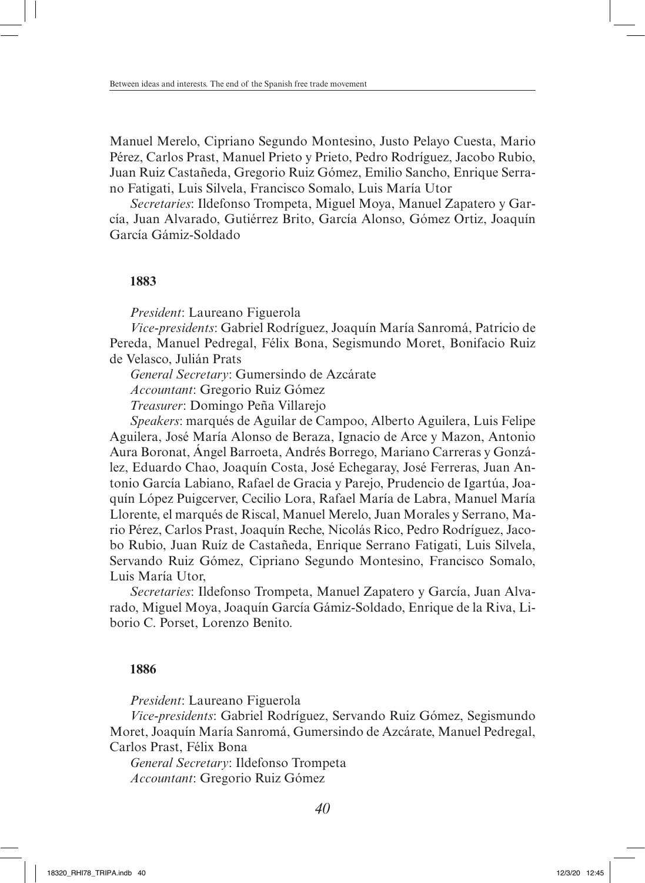Manuel Merelo, Cipriano Segundo Montesino, Justo Pelayo Cuesta, Mario Pérez, Carlos Prast, Manuel Prieto y Prieto, Pedro Rodríguez, Jacobo Rubio, Juan Ruiz Castañeda, Gregorio Ruiz Gómez, Emilio Sancho, Enrique Serrano Fatigati, Luis Silvela, Francisco Somalo, Luis María Utor

*Secretaries*: Ildefonso Trompeta, Miguel Moya, Manuel Zapatero y García, Juan Alvarado, Gutiérrez Brito, García Alonso, Gómez Ortiz, Joaquín García Gámiz-Soldado

### **1883**

*President*: Laureano Figuerola

*Vice-presidents*: Gabriel Rodríguez, Joaquín María Sanromá, Patricio de Pereda, Manuel Pedregal, Félix Bona, Segismundo Moret, Bonifacio Ruiz de Velasco, Julián Prats

*General Secretary*: Gumersindo de Azcárate

*Accountant*: Gregorio Ruiz Gómez

*Treasurer*: Domingo Peña Villarejo

*Speakers*: marqués de Aguilar de Campoo, Alberto Aguilera, Luis Felipe Aguilera, José María Alonso de Beraza, Ignacio de Arce y Mazon, Antonio Aura Boronat, Ángel Barroeta, Andrés Borrego, Mariano Carreras y González, Eduardo Chao, Joaquín Costa, José Echegaray, José Ferreras, Juan Antonio García Labiano, Rafael de Gracia y Parejo, Prudencio de Igartúa, Joaquín López Puigcerver, Cecilio Lora, Rafael María de Labra, Manuel María Llorente, el marqués de Riscal, Manuel Merelo, Juan Morales y Serrano, Mario Pérez, Carlos Prast, Joaquín Reche, Nicolás Rico, Pedro Rodríguez, Jacobo Rubio, Juan Ruíz de Castañeda, Enrique Serrano Fatigati, Luis Silvela, Servando Ruiz Gómez, Cipriano Segundo Montesino, Francisco Somalo, Luis María Utor,

*Secretaries*: Ildefonso Trompeta, Manuel Zapatero y García, Juan Alvarado, Miguel Moya, Joaquín García Gámiz-Soldado, Enrique de la Riva, Liborio C. Porset, Lorenzo Benito.

### **1886**

*President*: Laureano Figuerola

*Vice-presidents*: Gabriel Rodríguez, Servando Ruiz Gómez, Segismundo Moret, Joaquín María Sanromá, Gumersindo de Azcárate, Manuel Pedregal, Carlos Prast, Félix Bona

*General Secretary*: Ildefonso Trompeta *Accountant*: Gregorio Ruiz Gómez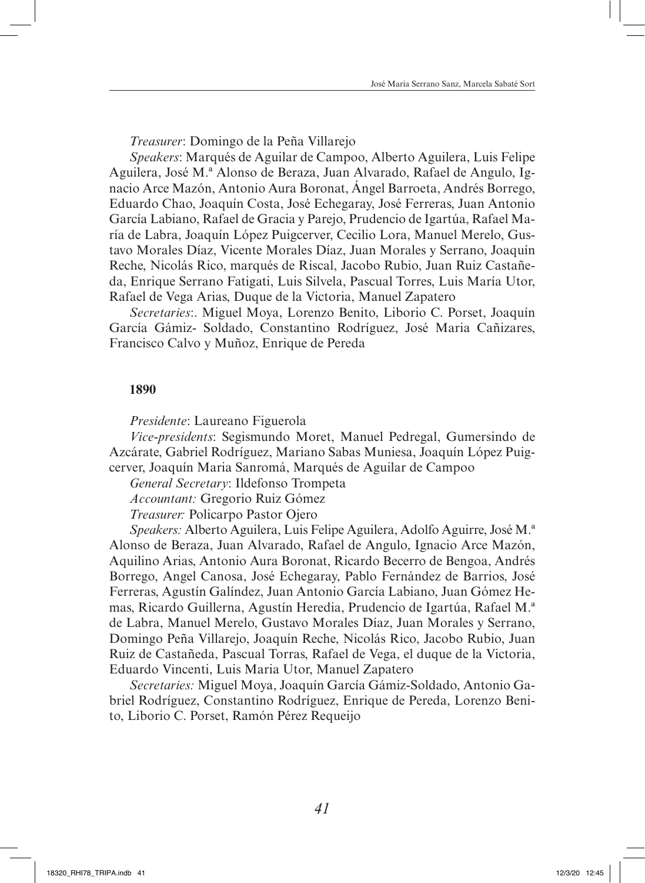*Treasurer*: Domingo de la Peña Villarejo

*Speakers*: Marqués de Aguilar de Campoo, Alberto Aguilera, Luis Felipe Aguilera, José M.ª Alonso de Beraza, Juan Alvarado, Rafael de Angulo, Ignacio Arce Mazón, Antonio Aura Boronat, Ángel Barroeta, Andrés Borrego, Eduardo Chao, Joaquín Costa, José Echegaray, José Ferreras, Juan Antonio García Labiano, Rafael de Gracia y Parejo, Prudencio de Igartúa, Rafael María de Labra, Joaquín López Puigcerver, Cecilio Lora, Manuel Merelo, Gustavo Morales Díaz, Vicente Morales Díaz, Juan Morales y Serrano, Joaquín Reche, Nicolás Rico, marqués de Riscal, Jacobo Rubio, Juan Ruiz Castañeda, Enrique Serrano Fatigati, Luis Silvela, Pascual Torres, Luis María Utor, Rafael de Vega Arias, Duque de la Victoria, Manuel Zapatero

*Secretaries*:. Miguel Moya, Lorenzo Benito, Liborio C. Porset, Joaquín García Gámiz- Soldado, Constantino Rodríguez, José Maria Cañizares, Francisco Calvo y Muñoz, Enrique de Pereda

### **1890**

*Presidente*: Laureano Figuerola

*Vice-presidents*: Segismundo Moret, Manuel Pedregal, Gumersindo de Azcárate, Gabriel Rodríguez, Mariano Sabas Muniesa, Joaquín López Puigcerver, Joaquín Maria Sanromá, Marqués de Aguilar de Campoo

*General Secretary*: Ildefonso Trompeta

*Accountant:* Gregorio Ruiz Gómez

*Treasurer:* Policarpo Pastor Ojero

*Speakers:* Alberto Aguilera, Luis Felipe Aguilera, Adolfo Aguirre, José M.ª Alonso de Beraza, Juan Alvarado, Rafael de Angulo, Ignacio Arce Mazón, Aquilino Arias, Antonio Aura Boronat, Ricardo Becerro de Bengoa, Andrés Borrego, Angel Canosa, José Echegaray, Pablo Fernández de Barrios, José Ferreras, Agustín Galíndez, Juan Antonio García Labiano, Juan Gómez Hemas, Ricardo Guillerna, Agustín Heredia, Prudencio de Igartúa, Rafael M.ª de Labra, Manuel Merelo, Gustavo Morales Díaz, Juan Morales y Serrano, Domingo Peña Villarejo, Joaquín Reche, Nicolás Rico, Jacobo Rubio, Juan Ruiz de Castañeda, Pascual Torras, Rafael de Vega, el duque de la Victoria, Eduardo Vincenti, Luis Maria Utor, Manuel Zapatero

*Secretaries:* Miguel Moya, Joaquín García Gámiz-Soldado, Antonio Gabriel Rodríguez, Constantino Rodríguez, Enrique de Pereda, Lorenzo Benito, Liborio C. Porset, Ramón Pérez Requeijo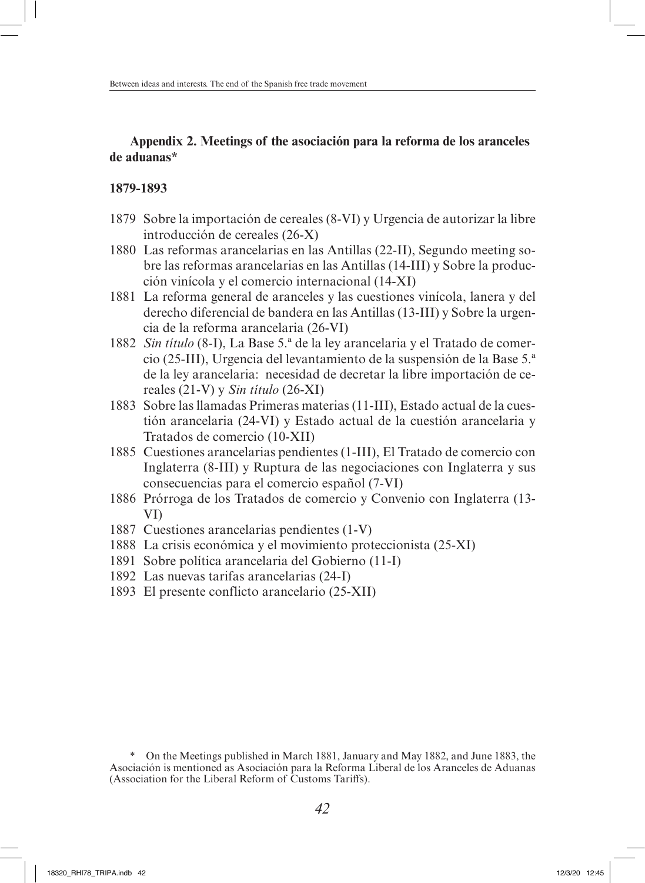# **Appendix 2. Meetings of the asociación para la reforma de los aranceles de aduanas\***

### **1879-1893**

- 1879 Sobre la importación de cereales (8-VI) y Urgencia de autorizar la libre introducción de cereales (26-X)
- 1880 Las reformas arancelarias en las Antillas (22-II), Segundo meeting sobre las reformas arancelarias en las Antillas (14-III) y Sobre la producción vinícola y el comercio internacional (14-XI)
- 1881 La reforma general de aranceles y las cuestiones vinícola, lanera y del derecho diferencial de bandera en las Antillas (13-III) y Sobre la urgencia de la reforma arancelaria (26-VI)
- 1882 *Sin título* (8-I), La Base 5.ª de la ley arancelaria y el Tratado de comercio (25-III), Urgencia del levantamiento de la suspensión de la Base 5.ª de la ley arancelaria: necesidad de decretar la libre importación de cereales (21-V) y *Sin título* (26-XI)
- 1883 Sobre las llamadas Primeras materias (11-III), Estado actual de la cuestión arancelaria (24-VI) y Estado actual de la cuestión arancelaria y Tratados de comercio (10-XII)
- 1885 Cuestiones arancelarias pendientes (1-III), El Tratado de comercio con Inglaterra (8-III) y Ruptura de las negociaciones con Inglaterra y sus consecuencias para el comercio español (7-VI)
- 1886 Prórroga de los Tratados de comercio y Convenio con Inglaterra (13- VI)
- 1887 Cuestiones arancelarias pendientes (1-V)
- 1888 La crisis económica y el movimiento proteccionista (25-XI)
- 1891 Sobre política arancelaria del Gobierno (11-I)
- 1892 Las nuevas tarifas arancelarias (24-I)
- 1893 El presente conflicto arancelario (25-XII)

On the Meetings published in March 1881, January and May 1882, and June 1883, the Asociación is mentioned as Asociación para la Reforma Liberal de los Aranceles de Aduanas (Association for the Liberal Reform of Customs Tariffs).